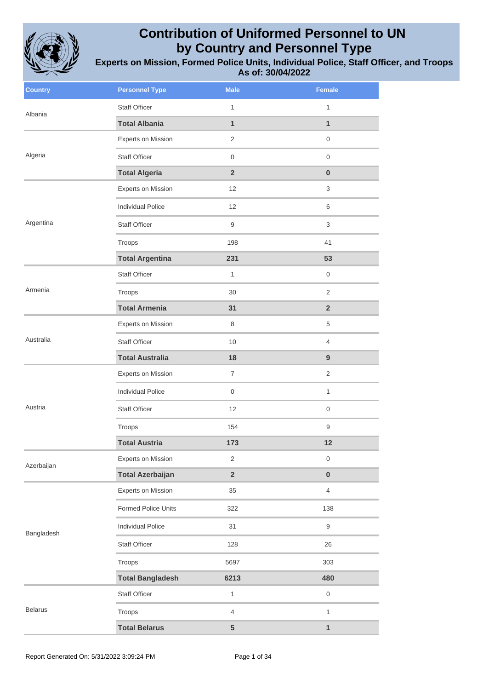

| <b>Country</b> | <b>Personnel Type</b>    | <b>Male</b>             | Female              |
|----------------|--------------------------|-------------------------|---------------------|
| Albania        | <b>Staff Officer</b>     | $\mathbf{1}$            | $\mathbf{1}$        |
|                | <b>Total Albania</b>     | $\mathbf{1}$            | $\mathbf{1}$        |
|                | Experts on Mission       | 2                       | 0                   |
| Algeria        | <b>Staff Officer</b>     | $\mathsf{O}$            | $\mathsf{O}\xspace$ |
|                | <b>Total Algeria</b>     | $\overline{2}$          | $\pmb{0}$           |
|                | Experts on Mission       | 12                      | 3                   |
|                | <b>Individual Police</b> | 12                      | 6                   |
| Argentina      | Staff Officer            | 9                       | 3                   |
|                | Troops                   | 198                     | 41                  |
|                | <b>Total Argentina</b>   | 231                     | 53                  |
|                | <b>Staff Officer</b>     | $\mathbf{1}$            | $\mathbf 0$         |
| Armenia        | Troops                   | 30                      | $\overline{2}$      |
|                | <b>Total Armenia</b>     | 31                      | $\overline{2}$      |
|                | Experts on Mission       | 8                       | 5                   |
| Australia      | <b>Staff Officer</b>     | 10                      | $\overline{4}$      |
|                | <b>Total Australia</b>   | 18                      | 9                   |
|                | Experts on Mission       | $\overline{7}$          | $\overline{2}$      |
|                | <b>Individual Police</b> | $\mathbf 0$             | $\mathbf{1}$        |
| Austria        | <b>Staff Officer</b>     | 12                      | 0                   |
|                | Troops                   | 154                     | $\hbox{9}$          |
|                | <b>Total Austria</b>     | 173                     | 12                  |
| Azerbaijan     | Experts on Mission       | 2                       | 0                   |
|                | <b>Total Azerbaijan</b>  | $\overline{\mathbf{2}}$ | $\pmb{0}$           |
|                | Experts on Mission       | 35                      | $\overline{4}$      |
|                | Formed Police Units      | 322                     | 138                 |
| Bangladesh     | <b>Individual Police</b> | 31                      | 9                   |
|                | Staff Officer            | 128                     | 26                  |
|                | Troops                   | 5697                    | 303                 |
|                | <b>Total Bangladesh</b>  | 6213                    | 480                 |
|                | Staff Officer            | $\mathbf{1}$            | $\mathsf 0$         |
| <b>Belarus</b> | Troops                   | $\overline{4}$          | $\mathbf{1}$        |
|                | <b>Total Belarus</b>     | 5                       | 1                   |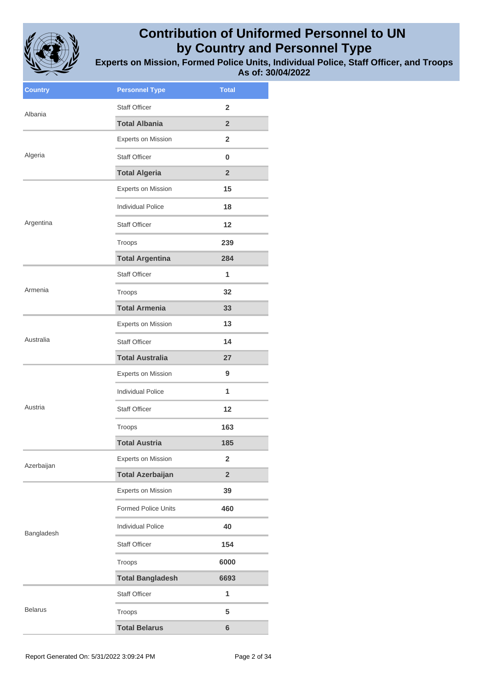

| <b>Country</b> | <b>Personnel Type</b>      | <b>Total</b>            |
|----------------|----------------------------|-------------------------|
| Albania        | <b>Staff Officer</b>       | $\overline{2}$          |
|                | <b>Total Albania</b>       | $\overline{2}$          |
|                | <b>Experts on Mission</b>  | $\overline{2}$          |
| Algeria        | <b>Staff Officer</b>       | 0                       |
|                | <b>Total Algeria</b>       | $\overline{2}$          |
|                | <b>Experts on Mission</b>  | 15                      |
|                | <b>Individual Police</b>   | 18                      |
| Argentina      | <b>Staff Officer</b>       | 12                      |
|                | Troops                     | 239                     |
|                | <b>Total Argentina</b>     | 284                     |
|                | <b>Staff Officer</b>       | 1                       |
| Armenia        | Troops                     | 32                      |
|                | <b>Total Armenia</b>       | 33                      |
|                | <b>Experts on Mission</b>  | 13                      |
| Australia      | <b>Staff Officer</b>       | 14                      |
|                | <b>Total Australia</b>     | 27                      |
|                | <b>Experts on Mission</b>  | 9                       |
|                | <b>Individual Police</b>   | 1                       |
| Austria        | <b>Staff Officer</b>       | 12                      |
|                | Troops                     | 163                     |
|                | <b>Total Austria</b>       | 185                     |
| Azerbaijan     | <b>Experts on Mission</b>  | $\overline{\mathbf{2}}$ |
|                | <b>Total Azerbaijan</b>    | $\overline{\mathbf{2}}$ |
|                | <b>Experts on Mission</b>  | 39                      |
|                | <b>Formed Police Units</b> | 460                     |
| Bangladesh     | <b>Individual Police</b>   | 40                      |
|                | <b>Staff Officer</b>       | 154                     |
|                | Troops                     | 6000                    |
|                | <b>Total Bangladesh</b>    | 6693                    |
|                | <b>Staff Officer</b>       | 1                       |
| <b>Belarus</b> | Troops                     | 5                       |
|                | <b>Total Belarus</b>       | 6                       |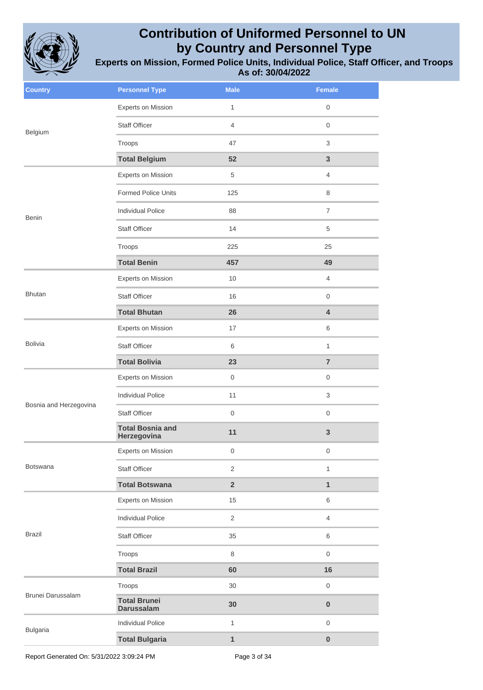

| <b>Country</b>         | <b>Personnel Type</b>                    | <b>Male</b>             | Female              |
|------------------------|------------------------------------------|-------------------------|---------------------|
| Belgium                | Experts on Mission                       | $\mathbf{1}$            | $\mathbf 0$         |
|                        | <b>Staff Officer</b>                     | $\overline{4}$          | $\mathbf 0$         |
|                        | Troops                                   | 47                      | 3                   |
|                        | <b>Total Belgium</b>                     | 52                      | 3                   |
|                        | Experts on Mission                       | 5                       | $\overline{4}$      |
|                        | <b>Formed Police Units</b>               | 125                     | 8                   |
| <b>Benin</b>           | <b>Individual Police</b>                 | 88                      | $\overline{7}$      |
|                        | <b>Staff Officer</b>                     | 14                      | 5                   |
|                        | Troops                                   | 225                     | 25                  |
|                        | <b>Total Benin</b>                       | 457                     | 49                  |
|                        | Experts on Mission                       | 10                      | $\overline{4}$      |
| <b>Bhutan</b>          | <b>Staff Officer</b>                     | 16                      | $\mathbf 0$         |
|                        | <b>Total Bhutan</b>                      | 26                      | 4                   |
|                        | Experts on Mission                       | 17                      | 6                   |
| <b>Bolivia</b>         | <b>Staff Officer</b>                     | 6                       | 1                   |
|                        | <b>Total Bolivia</b>                     | 23                      | $\overline{7}$      |
|                        | Experts on Mission                       | $\,0\,$                 | $\mathsf{O}\xspace$ |
|                        | <b>Individual Police</b>                 | 11                      | 3                   |
| Bosnia and Herzegovina | <b>Staff Officer</b>                     | $\mathbf 0$             | $\mathbf 0$         |
|                        | <b>Total Bosnia and</b><br>Herzegovina   | 11                      | $\mathbf{3}$        |
|                        | Experts on Mission                       | $\,0\,$                 | $\mathsf{O}\xspace$ |
| <b>Botswana</b>        | <b>Staff Officer</b>                     | 2                       | $\mathbf{1}$        |
|                        | <b>Total Botswana</b>                    | $\overline{\mathbf{2}}$ | $\mathbf{1}$        |
|                        | Experts on Mission                       | 15                      | 6                   |
|                        | <b>Individual Police</b>                 | 2                       | $\overline{4}$      |
| <b>Brazil</b>          | Staff Officer                            | 35                      | 6                   |
|                        | Troops                                   | 8                       | $\mathsf{O}\xspace$ |
|                        | <b>Total Brazil</b>                      | 60                      | 16                  |
| Brunei Darussalam      | Troops                                   | 30                      | $\boldsymbol{0}$    |
|                        | <b>Total Brunei</b><br><b>Darussalam</b> | 30                      | $\pmb{0}$           |
| <b>Bulgaria</b>        | <b>Individual Police</b>                 | $\mathbf{1}$            | $\mathbf 0$         |
|                        | <b>Total Bulgaria</b>                    | 1                       | $\pmb{0}$           |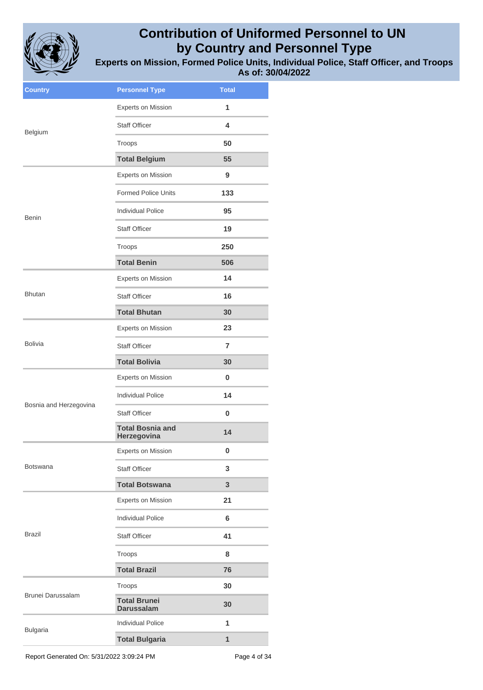

**Experts on Mission, Formed Police Units, Individual Police, Staff Officer, and Troops As of: 30/04/2022**

| <b>Country</b>           | <b>Personnel Type</b>                    | <b>Total</b>   |
|--------------------------|------------------------------------------|----------------|
|                          | <b>Experts on Mission</b>                | 1              |
| Belgium                  | <b>Staff Officer</b>                     | 4              |
|                          | Troops                                   | 50             |
|                          | <b>Total Belgium</b>                     | 55             |
|                          | <b>Experts on Mission</b>                | 9              |
|                          | <b>Formed Police Units</b>               | 133            |
| <b>Benin</b>             | <b>Individual Police</b>                 | 95             |
|                          | <b>Staff Officer</b>                     | 19             |
|                          | Troops                                   | 250            |
|                          | <b>Total Benin</b>                       | 506            |
|                          | <b>Experts on Mission</b>                | 14             |
| <b>Bhutan</b>            | <b>Staff Officer</b>                     | 16             |
|                          | <b>Total Bhutan</b>                      | 30             |
|                          | <b>Experts on Mission</b>                | 23             |
| <b>Bolivia</b>           | <b>Staff Officer</b>                     | $\overline{7}$ |
|                          | <b>Total Bolivia</b>                     | 30             |
|                          | <b>Experts on Mission</b>                | 0              |
|                          | <b>Individual Police</b>                 | 14             |
| Bosnia and Herzegovina   | <b>Staff Officer</b>                     | 0              |
|                          | <b>Total Bosnia and</b><br>Herzegovina   | 14             |
|                          | <b>Experts on Mission</b>                | 0              |
| <b>Botswana</b>          | <b>Staff Officer</b>                     | 3              |
|                          | <b>Total Botswana</b>                    | 3              |
|                          | <b>Experts on Mission</b>                | 21             |
|                          | <b>Individual Police</b>                 | 6              |
| <b>Brazil</b>            | <b>Staff Officer</b>                     | 41             |
|                          | Troops                                   | 8              |
|                          | <b>Total Brazil</b>                      | 76             |
| <b>Brunei Darussalam</b> | Troops                                   | 30             |
|                          | <b>Total Brunei</b><br><b>Darussalam</b> | 30             |
| <b>Bulgaria</b>          | <b>Individual Police</b>                 | 1              |
|                          | <b>Total Bulgaria</b>                    | 1              |
|                          |                                          |                |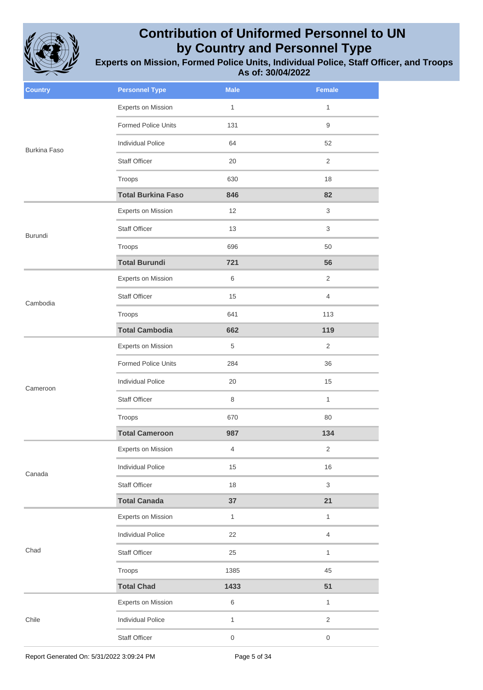

| <b>Country</b>      | <b>Personnel Type</b>      | <b>Male</b>      | <b>Female</b>       |
|---------------------|----------------------------|------------------|---------------------|
|                     | Experts on Mission         | $\mathbf{1}$     | $\mathbf{1}$        |
|                     | <b>Formed Police Units</b> | 131              | $\boldsymbol{9}$    |
| <b>Burkina Faso</b> | <b>Individual Police</b>   | 64               | 52                  |
|                     | <b>Staff Officer</b>       | 20               | 2                   |
|                     | Troops                     | 630              | 18                  |
|                     | <b>Total Burkina Faso</b>  | 846              | 82                  |
|                     | <b>Experts on Mission</b>  | 12               | 3                   |
| Burundi             | <b>Staff Officer</b>       | 13               | 3                   |
|                     | Troops                     | 696              | 50                  |
|                     | <b>Total Burundi</b>       | 721              | 56                  |
|                     | <b>Experts on Mission</b>  | 6                | 2                   |
| Cambodia            | <b>Staff Officer</b>       | 15               | $\overline{4}$      |
|                     | Troops                     | 641              | 113                 |
|                     | <b>Total Cambodia</b>      | 662              | 119                 |
| Cameroon            | Experts on Mission         | 5                | 2                   |
|                     | <b>Formed Police Units</b> | 284              | 36                  |
|                     | <b>Individual Police</b>   | 20               | 15                  |
|                     | <b>Staff Officer</b>       | 8                | $\mathbf{1}$        |
|                     | Troops                     | 670              | 80                  |
|                     | <b>Total Cameroon</b>      | 987              | 134                 |
|                     | <b>Experts on Mission</b>  | 4                | 2                   |
| Canada              | <b>Individual Police</b>   | 15               | 16                  |
|                     | <b>Staff Officer</b>       | 18               | $\sqrt{3}$          |
|                     | <b>Total Canada</b>        | 37               | 21                  |
|                     | Experts on Mission         | $\mathbf{1}$     | $\mathbf{1}$        |
| Chad                | <b>Individual Police</b>   | 22               | $\overline{4}$      |
|                     | Staff Officer              | 25               | $\mathbf{1}$        |
|                     | Troops                     | 1385             | 45                  |
|                     | <b>Total Chad</b>          | 1433             | 51                  |
|                     | Experts on Mission         | 6                | $\mathbf{1}$        |
| Chile               | <b>Individual Police</b>   | $\mathbf{1}$     | $\overline{2}$      |
|                     | Staff Officer              | $\boldsymbol{0}$ | $\mathsf{O}\xspace$ |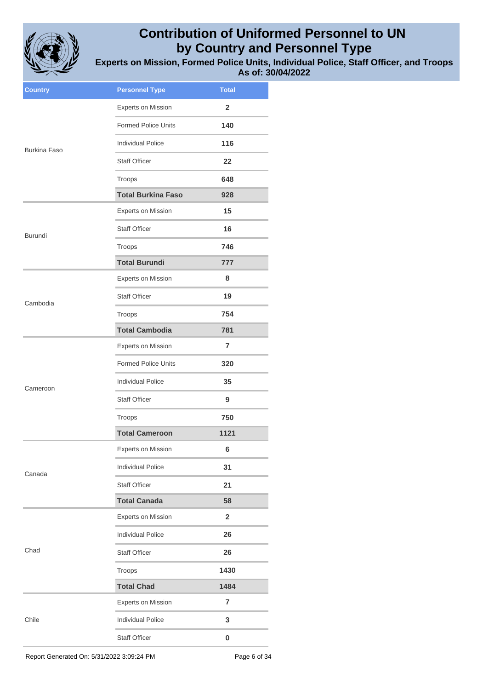

**Experts on Mission, Formed Police Units, Individual Police, Staff Officer, and Troops As of: 30/04/2022**

| <b>Country</b>      | <b>Personnel Type</b>      | <b>Total</b>   |
|---------------------|----------------------------|----------------|
|                     | Experts on Mission         | $\overline{2}$ |
|                     | <b>Formed Police Units</b> | 140            |
| <b>Burkina Faso</b> | <b>Individual Police</b>   | 116            |
|                     | <b>Staff Officer</b>       | 22             |
|                     | Troops                     | 648            |
|                     | <b>Total Burkina Faso</b>  | 928            |
|                     | <b>Experts on Mission</b>  | 15             |
| Burundi             | <b>Staff Officer</b>       | 16             |
|                     | Troops                     | 746            |
|                     | <b>Total Burundi</b>       | 777            |
|                     | Experts on Mission         | 8              |
| Cambodia            | <b>Staff Officer</b>       | 19             |
|                     | Troops                     | 754            |
|                     | <b>Total Cambodia</b>      | 781            |
|                     | Experts on Mission         | $\overline{7}$ |
|                     | <b>Formed Police Units</b> | 320            |
| Cameroon            | <b>Individual Police</b>   | 35             |
|                     | <b>Staff Officer</b>       | 9              |
|                     | Troops                     | 750            |
|                     | <b>Total Cameroon</b>      | 1121           |
|                     | <b>Experts on Mission</b>  | 6              |
| Canada              | <b>Individual Police</b>   | 31             |
|                     | <b>Staff Officer</b>       | 21             |
|                     | <b>Total Canada</b>        | 58             |
|                     | Experts on Mission         | $\overline{2}$ |
|                     | <b>Individual Police</b>   | 26             |
| Chad                | <b>Staff Officer</b>       | 26             |
|                     | Troops                     | 1430           |
|                     | <b>Total Chad</b>          | 1484           |
|                     | <b>Experts on Mission</b>  | $\overline{7}$ |
| Chile               | <b>Individual Police</b>   | 3              |
|                     | Staff Officer              | 0              |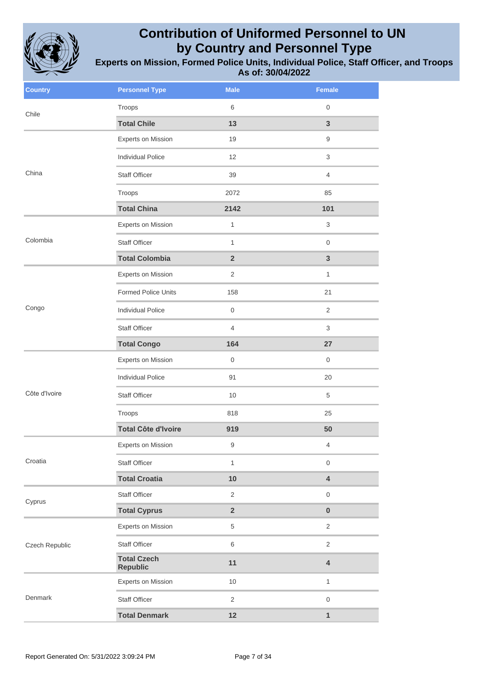

| <b>Country</b> | <b>Personnel Type</b>                 | <b>Male</b>             | <b>Female</b>           |
|----------------|---------------------------------------|-------------------------|-------------------------|
| Chile          | Troops                                | 6                       | $\mathbf 0$             |
|                | <b>Total Chile</b>                    | 13                      | $\overline{3}$          |
|                | <b>Experts on Mission</b>             | 19                      | $\hbox{9}$              |
|                | <b>Individual Police</b>              | 12                      | 3                       |
| China          | <b>Staff Officer</b>                  | 39                      | $\overline{4}$          |
|                | Troops                                | 2072                    | 85                      |
|                | <b>Total China</b>                    | 2142                    | 101                     |
|                | <b>Experts on Mission</b>             | $\mathbf{1}$            | 3                       |
| Colombia       | <b>Staff Officer</b>                  | $\mathbf{1}$            | $\mathbf 0$             |
|                | <b>Total Colombia</b>                 | $\overline{2}$          | $\mathbf{3}$            |
|                | <b>Experts on Mission</b>             | $\overline{2}$          | $\mathbf{1}$            |
|                | Formed Police Units                   | 158                     | 21                      |
| Congo          | <b>Individual Police</b>              | $\boldsymbol{0}$        | $\overline{2}$          |
|                | <b>Staff Officer</b>                  | 4                       | 3                       |
|                | <b>Total Congo</b>                    | 164                     | 27                      |
|                | Experts on Mission                    | $\boldsymbol{0}$        | $\mathbf 0$             |
|                | <b>Individual Police</b>              | 91                      | 20                      |
| Côte d'Ivoire  | Staff Officer                         | 10                      | 5                       |
|                | Troops                                | 818                     | 25                      |
|                | <b>Total Côte d'Ivoire</b>            | 919                     | 50                      |
|                | Experts on Mission                    | 9                       | $\overline{4}$          |
| Croatia        | Staff Officer                         | $\mathbf{1}$            | $\mathbf 0$             |
|                | <b>Total Croatia</b>                  | 10                      | $\overline{\mathbf{4}}$ |
| Cyprus         | Staff Officer                         | $\overline{2}$          | $\mathsf{O}\xspace$     |
|                | <b>Total Cyprus</b>                   | $\overline{\mathbf{2}}$ | $\pmb{0}$               |
| Czech Republic | Experts on Mission                    | 5                       | $\sqrt{2}$              |
|                | Staff Officer                         | 6                       | $\overline{2}$          |
|                | <b>Total Czech</b><br><b>Republic</b> | 11                      | $\overline{\mathbf{4}}$ |
|                | Experts on Mission                    | $10$                    | $\mathbf{1}$            |
| Denmark        | Staff Officer                         | $\overline{2}$          | $\mathsf{O}\xspace$     |
|                | <b>Total Denmark</b>                  | 12                      | $\mathbf{1}$            |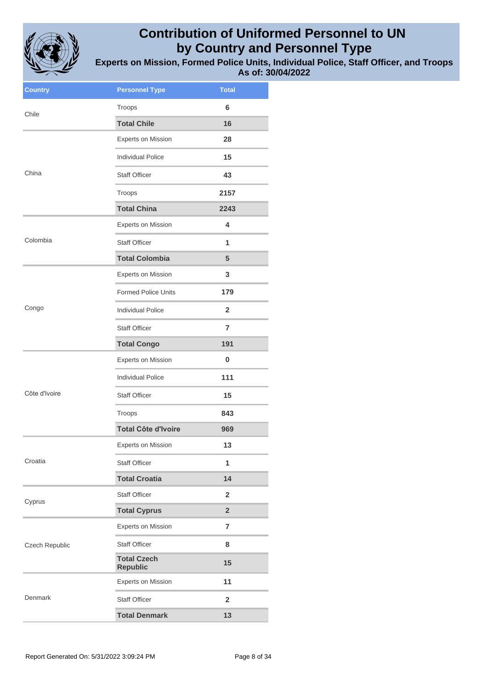

| <b>Country</b> | <b>Personnel Type</b>                 | <b>Total</b>            |
|----------------|---------------------------------------|-------------------------|
| Chile          | Troops                                | 6                       |
|                | <b>Total Chile</b>                    | 16                      |
|                | Experts on Mission                    | 28                      |
|                | <b>Individual Police</b>              | 15                      |
| China          | <b>Staff Officer</b>                  | 43                      |
|                | Troops                                | 2157                    |
|                | <b>Total China</b>                    | 2243                    |
|                | <b>Experts on Mission</b>             | 4                       |
| Colombia       | <b>Staff Officer</b>                  | 1                       |
|                | <b>Total Colombia</b>                 | 5                       |
|                | <b>Experts on Mission</b>             | 3                       |
|                | <b>Formed Police Units</b>            | 179                     |
| Congo          | <b>Individual Police</b>              | $\overline{2}$          |
|                | <b>Staff Officer</b>                  | 7                       |
|                | <b>Total Congo</b>                    | 191                     |
|                | <b>Experts on Mission</b>             | 0                       |
|                | <b>Individual Police</b>              | 111                     |
| Côte d'Ivoire  | <b>Staff Officer</b>                  | 15                      |
|                | Troops                                | 843                     |
|                | <b>Total Côte d'Ivoire</b>            | 969                     |
|                | Experts on Mission                    | 13                      |
| Croatia        | <b>Staff Officer</b>                  | 1                       |
|                | <b>Total Croatia</b>                  | 14                      |
| Cyprus         | Staff Officer                         | $\overline{\mathbf{2}}$ |
|                | <b>Total Cyprus</b>                   | $\overline{\mathbf{2}}$ |
|                | <b>Experts on Mission</b>             | $\overline{7}$          |
| Czech Republic | <b>Staff Officer</b>                  | 8                       |
|                | <b>Total Czech</b><br><b>Republic</b> | 15                      |
|                | Experts on Mission                    | 11                      |
| Denmark        | <b>Staff Officer</b>                  | $\overline{\mathbf{2}}$ |
|                | <b>Total Denmark</b>                  | 13                      |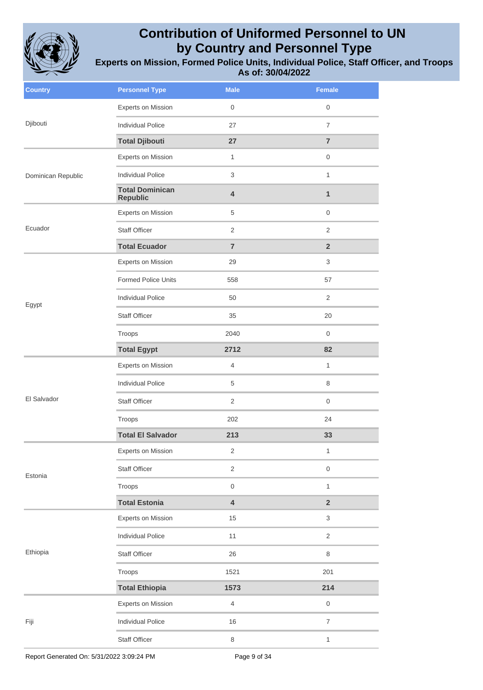

| <b>Country</b>     | <b>Personnel Type</b>                     | <b>Male</b>             | Female                   |
|--------------------|-------------------------------------------|-------------------------|--------------------------|
| Djibouti           | Experts on Mission                        | $\mathbf 0$             | 0                        |
|                    | <b>Individual Police</b>                  | 27                      | $\overline{7}$           |
|                    | <b>Total Djibouti</b>                     | 27                      | $\overline{7}$           |
|                    | Experts on Mission                        | $\mathbf{1}$            | $\mathsf{O}\xspace$      |
| Dominican Republic | <b>Individual Police</b>                  | 3                       | $\mathbf{1}$             |
|                    | <b>Total Dominican</b><br><b>Republic</b> | 4                       | 1                        |
|                    | Experts on Mission                        | 5                       | $\boldsymbol{0}$         |
| Ecuador            | <b>Staff Officer</b>                      | $\overline{2}$          | $\overline{2}$           |
|                    | <b>Total Ecuador</b>                      | $\overline{7}$          | $\overline{2}$           |
|                    | Experts on Mission                        | 29                      | 3                        |
|                    | <b>Formed Police Units</b>                | 558                     | 57                       |
| Egypt              | <b>Individual Police</b>                  | 50                      | $\overline{2}$           |
|                    | <b>Staff Officer</b>                      | 35                      | 20                       |
|                    | Troops                                    | 2040                    | $\overline{0}$           |
|                    | <b>Total Egypt</b>                        | 2712                    | 82                       |
|                    | Experts on Mission                        | 4                       | $\mathbf{1}$             |
|                    | <b>Individual Police</b>                  | 5                       | 8                        |
| El Salvador        | Staff Officer                             | 2                       | $\mathbf 0$              |
|                    | Troops                                    | 202                     | 24                       |
|                    | <b>Total El Salvador</b>                  | 213                     | 33                       |
|                    | Experts on Mission                        | 2                       | 1                        |
| Estonia            | Staff Officer                             | $\overline{2}$          | $\mathsf{O}\xspace$      |
|                    | Troops                                    | $\mathsf{O}\xspace$     | $\mathbf{1}$             |
|                    | <b>Total Estonia</b>                      | $\overline{\mathbf{4}}$ | $\overline{\mathbf{2}}$  |
|                    | Experts on Mission                        | 15                      | 3                        |
| Ethiopia           | <b>Individual Police</b>                  | 11                      | $\overline{2}$           |
|                    | Staff Officer                             | 26                      | $\,8\,$                  |
|                    | Troops                                    | 1521                    | 201                      |
|                    | <b>Total Ethiopia</b>                     | 1573                    | 214                      |
|                    | Experts on Mission                        | $\overline{4}$          | $\mathsf{O}\xspace$      |
| Fiji               | <b>Individual Police</b>                  | 16                      | $\overline{\mathcal{I}}$ |
|                    | Staff Officer                             | 8                       | $\mathbf{1}$             |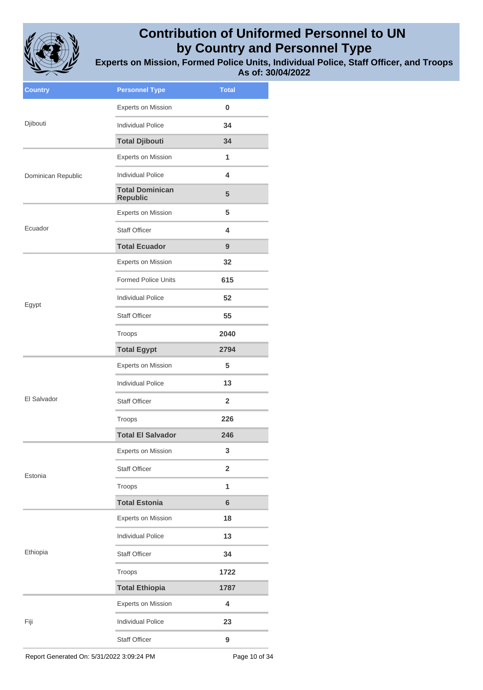

**Experts on Mission, Formed Police Units, Individual Police, Staff Officer, and Troops As of: 30/04/2022**

| <b>Country</b>     | <b>Personnel Type</b>                     | <b>Total</b>            |
|--------------------|-------------------------------------------|-------------------------|
|                    | Experts on Mission                        | 0                       |
| Djibouti           | <b>Individual Police</b>                  | 34                      |
|                    | <b>Total Djibouti</b>                     | 34                      |
|                    | Experts on Mission                        | 1                       |
| Dominican Republic | Individual Police                         | 4                       |
|                    | <b>Total Dominican</b><br><b>Republic</b> | 5                       |
|                    | <b>Experts on Mission</b>                 | 5                       |
| Ecuador            | <b>Staff Officer</b>                      | 4                       |
|                    | <b>Total Ecuador</b>                      | 9                       |
|                    | <b>Experts on Mission</b>                 | 32                      |
|                    | <b>Formed Police Units</b>                | 615                     |
| Egypt              | <b>Individual Police</b>                  | 52                      |
|                    | <b>Staff Officer</b>                      | 55                      |
|                    | Troops                                    | 2040                    |
|                    | <b>Total Egypt</b>                        | 2794                    |
|                    | <b>Experts on Mission</b>                 | 5                       |
|                    | <b>Individual Police</b>                  | 13                      |
| El Salvador        | <b>Staff Officer</b>                      | $\mathbf{2}$            |
|                    | Troops                                    | 226                     |
|                    | <b>Total El Salvador</b>                  | 246                     |
|                    | <b>Experts on Mission</b>                 | 3                       |
| Estonia            | <b>Staff Officer</b>                      | $\overline{\mathbf{2}}$ |
|                    | Troops                                    | 1                       |
|                    | <b>Total Estonia</b>                      | $6\phantom{1}$          |
|                    | <b>Experts on Mission</b>                 | 18                      |
|                    | <b>Individual Police</b>                  | 13                      |
| Ethiopia           | <b>Staff Officer</b>                      | 34                      |
|                    | Troops                                    | 1722                    |
|                    | <b>Total Ethiopia</b>                     | 1787                    |
|                    | Experts on Mission                        | 4                       |
| Fiji               | <b>Individual Police</b>                  | 23                      |
|                    | <b>Staff Officer</b>                      | 9                       |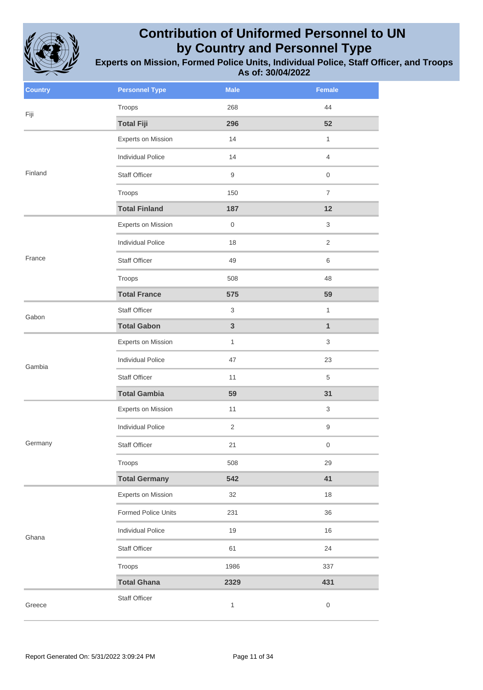

| <b>Country</b> | <b>Personnel Type</b>    | <b>Male</b>    | Female                    |
|----------------|--------------------------|----------------|---------------------------|
| Fiji           | Troops                   | 268            | 44                        |
|                | <b>Total Fiji</b>        | 296            | 52                        |
|                | Experts on Mission       | 14             | $\mathbf{1}$              |
|                | <b>Individual Police</b> | 14             | $\overline{4}$            |
| Finland        | Staff Officer            | 9              | $\mathsf{O}\xspace$       |
|                | Troops                   | 150            | $\overline{7}$            |
|                | <b>Total Finland</b>     | 187            | 12                        |
|                | Experts on Mission       | $\,0\,$        | $\ensuremath{\mathsf{3}}$ |
|                | <b>Individual Police</b> | 18             | $\overline{2}$            |
| France         | Staff Officer            | 49             | 6                         |
|                | Troops                   | 508            | 48                        |
|                | <b>Total France</b>      | 575            | 59                        |
| Gabon          | Staff Officer            | 3              | $\mathbf{1}$              |
|                | <b>Total Gabon</b>       | 3              | $\mathbf{1}$              |
| Gambia         | Experts on Mission       | $\mathbf{1}$   | 3                         |
|                | <b>Individual Police</b> | 47             | 23                        |
|                | Staff Officer            | 11             | 5                         |
|                | <b>Total Gambia</b>      | 59             | 31                        |
|                | Experts on Mission       | 11             | $\ensuremath{\mathsf{3}}$ |
|                | <b>Individual Police</b> | $\overline{2}$ | $\boldsymbol{9}$          |
| Germany        | Staff Officer            | 21             | 0                         |
|                | Troops                   | 508            | 29                        |
|                | <b>Total Germany</b>     | 542            | 41                        |
|                | Experts on Mission       | 32             | 18                        |
| Ghana          | Formed Police Units      | 231            | 36                        |
|                | <b>Individual Police</b> | 19             | 16                        |
|                | <b>Staff Officer</b>     | 61             | 24                        |
|                | Troops                   | 1986           | 337                       |
|                | <b>Total Ghana</b>       | 2329           | 431                       |
| Greece         | Staff Officer            | $\mathbf{1}$   | $\mathbf 0$               |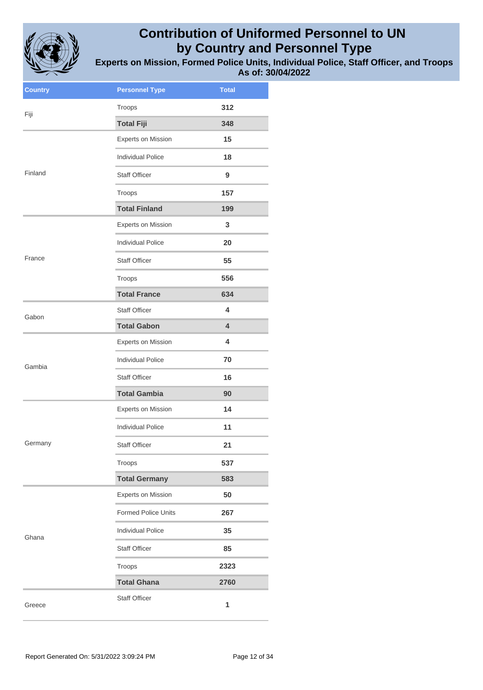

| <b>Country</b> | <b>Personnel Type</b>      | <b>Total</b> |
|----------------|----------------------------|--------------|
| Fiji           | Troops                     | 312          |
|                | <b>Total Fiji</b>          | 348          |
|                | <b>Experts on Mission</b>  | 15           |
|                | <b>Individual Police</b>   | 18           |
| Finland        | <b>Staff Officer</b>       | 9            |
|                | Troops                     | 157          |
|                | <b>Total Finland</b>       | 199          |
|                | Experts on Mission         | 3            |
|                | <b>Individual Police</b>   | 20           |
| France         | <b>Staff Officer</b>       | 55           |
|                | Troops                     | 556          |
|                | <b>Total France</b>        | 634          |
| Gabon          | <b>Staff Officer</b>       | 4            |
|                | <b>Total Gabon</b>         | 4            |
|                | <b>Experts on Mission</b>  | 4            |
| Gambia         | <b>Individual Police</b>   | 70           |
|                | <b>Staff Officer</b>       | 16           |
|                | <b>Total Gambia</b>        | 90           |
|                | Experts on Mission         | 14           |
|                | <b>Individual Police</b>   | 11           |
| Germany        | <b>Staff Officer</b>       | 21           |
|                | Troops                     | 537          |
|                | <b>Total Germany</b>       | 583          |
|                | <b>Experts on Mission</b>  | 50           |
|                | <b>Formed Police Units</b> | 267          |
| Ghana          | <b>Individual Police</b>   | 35           |
|                | <b>Staff Officer</b>       | 85           |
|                | Troops                     | 2323         |
|                | <b>Total Ghana</b>         | 2760         |
| Greece         | <b>Staff Officer</b>       | 1            |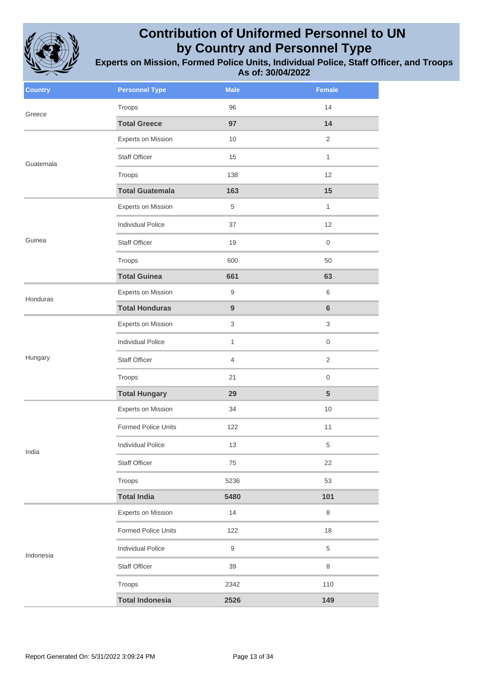

| <b>Country</b> | <b>Personnel Type</b>      | <b>Male</b>               | Female              |
|----------------|----------------------------|---------------------------|---------------------|
| Greece         | Troops                     | 96                        | 14                  |
|                | <b>Total Greece</b>        | 97                        | 14                  |
|                | Experts on Mission         | 10                        | $\overline{2}$      |
| Guatemala      | Staff Officer              | 15                        | $\mathbf{1}$        |
|                | Troops                     | 138                       | 12                  |
|                | <b>Total Guatemala</b>     | 163                       | 15                  |
|                | Experts on Mission         | $\,$ 5 $\,$               | $\mathbf{1}$        |
|                | <b>Individual Police</b>   | 37                        | 12                  |
| Guinea         | <b>Staff Officer</b>       | 19                        | $\boldsymbol{0}$    |
|                | Troops                     | 600                       | 50                  |
|                | <b>Total Guinea</b>        | 661                       | 63                  |
| Honduras       | Experts on Mission         | $\hbox{9}$                | $\,6$               |
|                | <b>Total Honduras</b>      | $\boldsymbol{9}$          | $\bf 6$             |
|                | Experts on Mission         | $\ensuremath{\mathsf{3}}$ | $\sqrt{3}$          |
|                | <b>Individual Police</b>   | $\mathbf{1}$              | $\mathbf 0$         |
| Hungary        | <b>Staff Officer</b>       | $\overline{4}$            | $\sqrt{2}$          |
|                | Troops                     | 21                        | $\mathsf{O}\xspace$ |
|                | <b>Total Hungary</b>       | 29                        | $\overline{5}$      |
|                | Experts on Mission         | 34                        | $10$                |
|                | <b>Formed Police Units</b> | 122                       | 11                  |
| India          | <b>Individual Police</b>   | 13                        | 5                   |
|                | <b>Staff Officer</b>       | 75                        | 22                  |
|                | Troops                     | 5236                      | 53                  |
|                | <b>Total India</b>         | 5480                      | 101                 |
|                | Experts on Mission         | 14                        | 8                   |
|                | <b>Formed Police Units</b> | 122                       | 18                  |
| Indonesia      | <b>Individual Police</b>   | 9                         | 5                   |
|                | Staff Officer              | 39                        | 8                   |
|                | Troops                     | 2342                      | 110                 |
|                | <b>Total Indonesia</b>     | 2526                      | 149                 |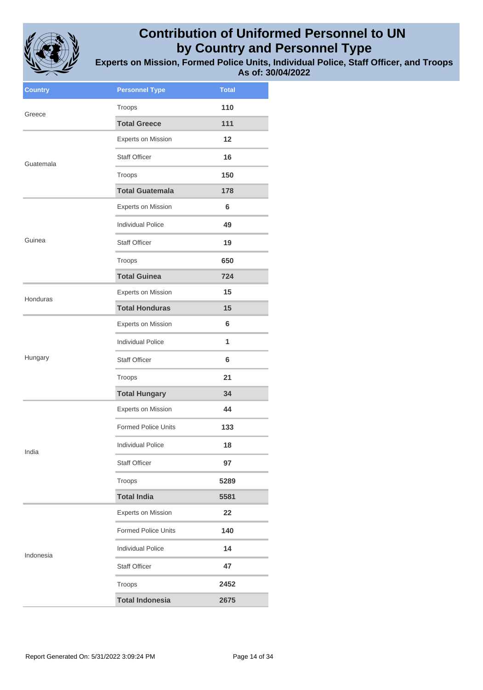

| <b>Country</b> | <b>Personnel Type</b>      | <b>Total</b> |
|----------------|----------------------------|--------------|
| Greece         | Troops                     | 110          |
|                | <b>Total Greece</b>        | 111          |
|                | <b>Experts on Mission</b>  | 12           |
| Guatemala      | <b>Staff Officer</b>       | 16           |
|                | Troops                     | 150          |
|                | <b>Total Guatemala</b>     | 178          |
|                | <b>Experts on Mission</b>  | 6            |
|                | <b>Individual Police</b>   | 49           |
| Guinea         | <b>Staff Officer</b>       | 19           |
|                | Troops                     | 650          |
|                | <b>Total Guinea</b>        | 724          |
| Honduras       | Experts on Mission         | 15           |
|                | <b>Total Honduras</b>      | 15           |
|                | Experts on Mission         | 6            |
|                | <b>Individual Police</b>   | 1            |
| Hungary        | <b>Staff Officer</b>       | 6            |
|                | Troops                     | 21           |
|                | <b>Total Hungary</b>       | 34           |
|                | Experts on Mission         | 44           |
|                | <b>Formed Police Units</b> | 133          |
| India          | <b>Individual Police</b>   | 18           |
|                | <b>Staff Officer</b>       | 97           |
|                | Troops                     | 5289         |
|                | <b>Total India</b>         | 5581         |
|                | <b>Experts on Mission</b>  | 22           |
|                | <b>Formed Police Units</b> | 140          |
| Indonesia      | <b>Individual Police</b>   | 14           |
|                | <b>Staff Officer</b>       | 47           |
|                | Troops                     | 2452         |
|                | <b>Total Indonesia</b>     | 2675         |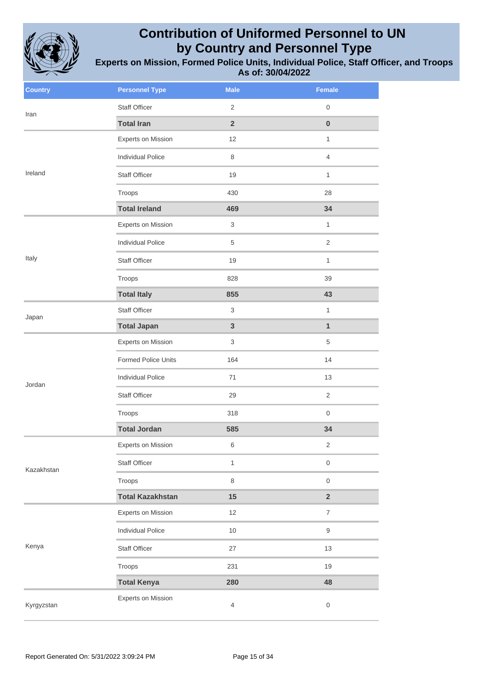

| <b>Country</b> | <b>Personnel Type</b>    | <b>Male</b>               | <b>Female</b>           |
|----------------|--------------------------|---------------------------|-------------------------|
| Iran           | <b>Staff Officer</b>     | 2                         | $\boldsymbol{0}$        |
|                | <b>Total Iran</b>        | $\overline{2}$            | $\pmb{0}$               |
|                | Experts on Mission       | 12                        | $\mathbf{1}$            |
|                | <b>Individual Police</b> | 8                         | $\overline{4}$          |
| Ireland        | Staff Officer            | 19                        | $\mathbf{1}$            |
|                | Troops                   | 430                       | 28                      |
|                | <b>Total Ireland</b>     | 469                       | 34                      |
|                | Experts on Mission       | $\ensuremath{\mathsf{3}}$ | $\mathbf{1}$            |
|                | <b>Individual Police</b> | $\,$ 5 $\,$               | $\overline{2}$          |
| Italy          | <b>Staff Officer</b>     | 19                        | $\mathbf{1}$            |
|                | Troops                   | 828                       | 39                      |
|                | <b>Total Italy</b>       | 855                       | 43                      |
| Japan          | <b>Staff Officer</b>     | $\ensuremath{\mathsf{3}}$ | $\mathbf{1}$            |
|                | <b>Total Japan</b>       | $\mathbf{3}$              | $\mathbf{1}$            |
|                | Experts on Mission       | 3                         | 5                       |
|                | Formed Police Units      | 164                       | 14                      |
| Jordan         | <b>Individual Police</b> | 71                        | 13                      |
|                | Staff Officer            | 29                        | $\overline{2}$          |
|                | Troops                   | 318                       | $\mathbf 0$             |
|                | <b>Total Jordan</b>      | 585                       | 34                      |
|                | Experts on Mission       | 6                         | 2                       |
| Kazakhstan     | Staff Officer            | $\mathbf{1}$              | $\mathsf 0$             |
|                | Troops                   | $\,8\,$                   | $\mathsf 0$             |
|                | <b>Total Kazakhstan</b>  | 15                        | $\overline{\mathbf{2}}$ |
|                | Experts on Mission       | 12                        | $\overline{7}$          |
|                | <b>Individual Police</b> | $10$                      | $\mathsf g$             |
| Kenya          | Staff Officer            | 27                        | $13$                    |
|                | Troops                   | 231                       | 19                      |
|                | <b>Total Kenya</b>       | 280                       | 48                      |
| Kyrgyzstan     | Experts on Mission       | $\overline{4}$            | $\boldsymbol{0}$        |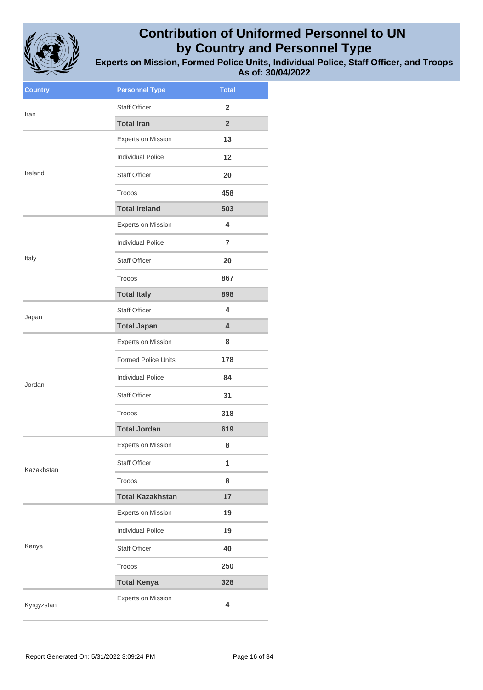

| <b>Country</b> | <b>Personnel Type</b>      | <b>Total</b>            |
|----------------|----------------------------|-------------------------|
| Iran           | <b>Staff Officer</b>       | 2                       |
|                | <b>Total Iran</b>          | $\overline{2}$          |
|                | <b>Experts on Mission</b>  | 13                      |
|                | <b>Individual Police</b>   | 12                      |
| Ireland        | <b>Staff Officer</b>       | 20                      |
|                | Troops                     | 458                     |
|                | <b>Total Ireland</b>       | 503                     |
|                | <b>Experts on Mission</b>  | 4                       |
|                | <b>Individual Police</b>   | $\overline{7}$          |
| Italy          | <b>Staff Officer</b>       | 20                      |
|                | Troops                     | 867                     |
|                | <b>Total Italy</b>         | 898                     |
| Japan          | <b>Staff Officer</b>       | 4                       |
|                | <b>Total Japan</b>         | $\overline{\mathbf{4}}$ |
|                | <b>Experts on Mission</b>  | 8                       |
|                | <b>Formed Police Units</b> | 178                     |
| Jordan         | <b>Individual Police</b>   | 84                      |
|                | <b>Staff Officer</b>       | 31                      |
|                | Troops                     | 318                     |
|                | <b>Total Jordan</b>        | 619                     |
|                | <b>Experts on Mission</b>  | 8                       |
| Kazakhstan     | Staff Officer              | 1                       |
|                | Troops                     | 8                       |
|                | <b>Total Kazakhstan</b>    | 17                      |
|                | Experts on Mission         | 19                      |
|                | <b>Individual Police</b>   | 19                      |
| Kenya          | Staff Officer              | 40                      |
|                | Troops                     | 250                     |
|                | <b>Total Kenya</b>         | 328                     |
| Kyrgyzstan     | <b>Experts on Mission</b>  | 4                       |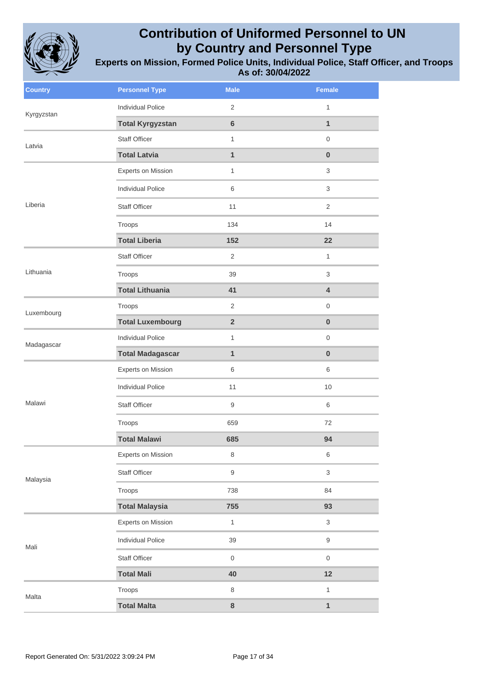

| <b>Country</b> | <b>Personnel Type</b>    | <b>Male</b>         | Female              |
|----------------|--------------------------|---------------------|---------------------|
| Kyrgyzstan     | <b>Individual Police</b> | 2                   | $\mathbf{1}$        |
|                | <b>Total Kyrgyzstan</b>  | $6\phantom{a}$      | $\mathbf{1}$        |
| Latvia         | <b>Staff Officer</b>     | $\mathbf{1}$        | $\mathsf{O}\xspace$ |
|                | <b>Total Latvia</b>      | $\mathbf{1}$        | $\bf{0}$            |
|                | Experts on Mission       | $\mathbf{1}$        | 3                   |
|                | <b>Individual Police</b> | 6                   | 3                   |
| Liberia        | Staff Officer            | 11                  | 2                   |
|                | Troops                   | 134                 | 14                  |
|                | <b>Total Liberia</b>     | 152                 | 22                  |
|                | Staff Officer            | 2                   | $\mathbf{1}$        |
| Lithuania      | Troops                   | 39                  | 3                   |
|                | <b>Total Lithuania</b>   | 41                  | $\overline{4}$      |
| Luxembourg     | Troops                   | 2                   | $\mathbf 0$         |
|                | <b>Total Luxembourg</b>  | $\overline{2}$      | $\bf{0}$            |
| Madagascar     | <b>Individual Police</b> | $\mathbf{1}$        | $\mathbf 0$         |
|                | <b>Total Madagascar</b>  | 1                   | $\bf{0}$            |
|                | Experts on Mission       | 6                   | 6                   |
|                | <b>Individual Police</b> | 11                  | 10                  |
| Malawi         | <b>Staff Officer</b>     | 9                   | 6                   |
|                | Troops                   | 659                 | 72                  |
|                | <b>Total Malawi</b>      | 685                 | 94                  |
|                | Experts on Mission       | $\,8\,$             | 6                   |
| Malaysia       | <b>Staff Officer</b>     | 9                   | $\mathfrak{S}$      |
|                | Troops                   | 738                 | 84                  |
|                | <b>Total Malaysia</b>    | 755                 | 93                  |
|                | Experts on Mission       | $\mathbf{1}$        | $\mathfrak{S}$      |
| Mali           | <b>Individual Police</b> | 39                  | $\mathsf g$         |
|                | Staff Officer            | $\mathsf{O}\xspace$ | $\mathsf{O}\xspace$ |
|                | <b>Total Mali</b>        | 40                  | 12                  |
| Malta          | Troops                   | 8                   | $\mathbf{1}$        |
|                | <b>Total Malta</b>       | $\bf 8$             | $\mathbf{1}$        |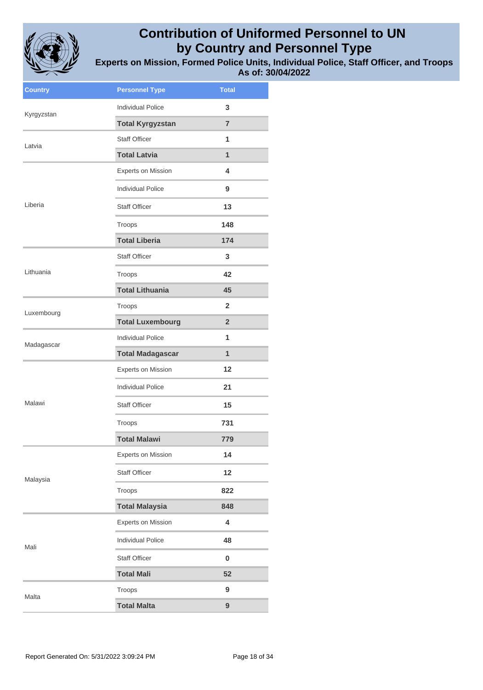

| <b>Country</b> | <b>Personnel Type</b>     | <b>Total</b>   |
|----------------|---------------------------|----------------|
| Kyrgyzstan     | <b>Individual Police</b>  | 3              |
|                | <b>Total Kyrgyzstan</b>   | $\overline{7}$ |
| Latvia         | <b>Staff Officer</b>      | 1              |
|                | <b>Total Latvia</b>       | $\mathbf{1}$   |
|                | Experts on Mission        | 4              |
|                | <b>Individual Police</b>  | 9              |
| Liberia        | <b>Staff Officer</b>      | 13             |
|                | Troops                    | 148            |
|                | <b>Total Liberia</b>      | 174            |
|                | <b>Staff Officer</b>      | 3              |
| Lithuania      | Troops                    | 42             |
|                | <b>Total Lithuania</b>    | 45             |
| Luxembourg     | Troops                    | $\overline{2}$ |
|                | <b>Total Luxembourg</b>   | $\overline{2}$ |
| Madagascar     | <b>Individual Police</b>  | 1              |
|                | <b>Total Madagascar</b>   | $\mathbf{1}$   |
|                |                           |                |
|                | Experts on Mission        | 12             |
|                | <b>Individual Police</b>  | 21             |
| Malawi         | <b>Staff Officer</b>      | 15             |
|                | Troops                    | 731            |
|                | <b>Total Malawi</b>       | 779            |
|                | <b>Experts on Mission</b> | 14             |
|                | <b>Staff Officer</b>      | 12             |
| Malaysia       | Troops                    | 822            |
|                | <b>Total Malaysia</b>     | 848            |
|                | Experts on Mission        | 4              |
|                | <b>Individual Police</b>  | 48             |
| Mali           | <b>Staff Officer</b>      | $\bf{0}$       |
|                | <b>Total Mali</b>         | 52             |
| Malta          | Troops                    | 9              |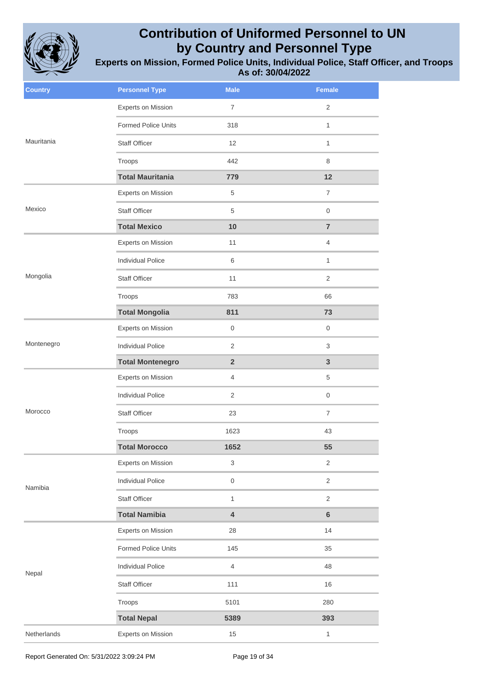

| <b>Country</b> | <b>Personnel Type</b>      | <b>Male</b>      | <b>Female</b>       |
|----------------|----------------------------|------------------|---------------------|
|                | Experts on Mission         | $\overline{7}$   | $\overline{2}$      |
|                | <b>Formed Police Units</b> | 318              | $\mathbf{1}$        |
| Mauritania     | <b>Staff Officer</b>       | 12               | $\mathbf{1}$        |
|                | Troops                     | 442              | 8                   |
|                | <b>Total Mauritania</b>    | 779              | 12                  |
|                | Experts on Mission         | $\,$ 5 $\,$      | $\overline{7}$      |
| Mexico         | <b>Staff Officer</b>       | 5                | $\mathbf 0$         |
|                | <b>Total Mexico</b>        | 10               | $\overline{7}$      |
|                | Experts on Mission         | 11               | $\overline{4}$      |
|                | <b>Individual Police</b>   | 6                | $\mathbf{1}$        |
| Mongolia       | <b>Staff Officer</b>       | 11               | $\overline{2}$      |
|                | Troops                     | 783              | 66                  |
|                | <b>Total Mongolia</b>      | 811              | 73                  |
|                | Experts on Mission         | $\mathbf 0$      | $\mathsf{O}\xspace$ |
| Montenegro     | <b>Individual Police</b>   | $\mathbf{2}$     | 3                   |
|                | <b>Total Montenegro</b>    | $\overline{2}$   | 3                   |
|                | Experts on Mission         | $\overline{4}$   | 5                   |
|                | <b>Individual Police</b>   | $\overline{c}$   | $\boldsymbol{0}$    |
| Morocco        | Staff Officer              | 23               | $\overline{7}$      |
|                | Troops                     | 1623             | 43                  |
|                | <b>Total Morocco</b>       | 1652             | 55                  |
|                | Experts on Mission         | 3                | $\overline{2}$      |
| Namibia        | <b>Individual Police</b>   | $\boldsymbol{0}$ | $\overline{c}$      |
|                | <b>Staff Officer</b>       | $\mathbf{1}$     | $\overline{2}$      |
|                | <b>Total Namibia</b>       | 4                | $\bf 6$             |
|                | Experts on Mission         | 28               | 14                  |
|                | Formed Police Units        | 145              | 35                  |
| Nepal          | <b>Individual Police</b>   | $\overline{4}$   | 48                  |
|                | Staff Officer              | 111              | 16                  |
|                | Troops                     | 5101             | 280                 |
|                | <b>Total Nepal</b>         | 5389             | 393                 |
| Netherlands    | Experts on Mission         | 15               | $\mathbf{1}$        |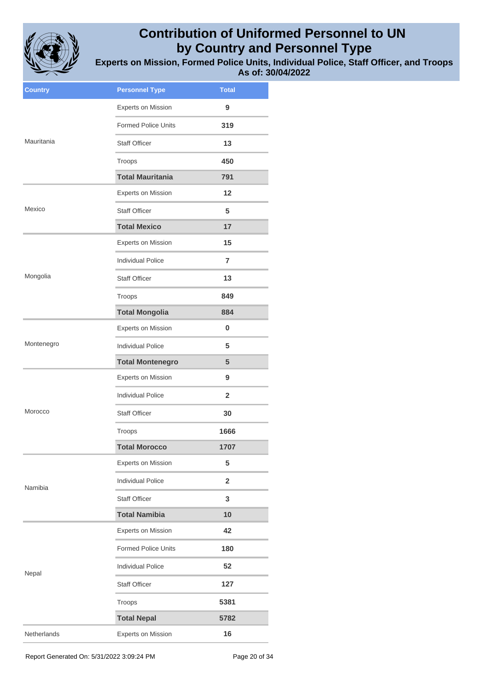

**Experts on Mission, Formed Police Units, Individual Police, Staff Officer, and Troops As of: 30/04/2022**

| <b>Country</b> | <b>Personnel Type</b>      | <b>Total</b>   |
|----------------|----------------------------|----------------|
|                | Experts on Mission         | 9              |
|                | <b>Formed Police Units</b> | 319            |
| Mauritania     | <b>Staff Officer</b>       | 13             |
|                | Troops                     | 450            |
|                | <b>Total Mauritania</b>    | 791            |
|                | <b>Experts on Mission</b>  | 12             |
| Mexico         | <b>Staff Officer</b>       | 5              |
|                | <b>Total Mexico</b>        | 17             |
|                | Experts on Mission         | 15             |
|                | <b>Individual Police</b>   | 7              |
| Mongolia       | <b>Staff Officer</b>       | 13             |
|                | Troops                     | 849            |
|                | <b>Total Mongolia</b>      | 884            |
|                | Experts on Mission         | 0              |
| Montenegro     | <b>Individual Police</b>   | 5              |
|                | <b>Total Montenegro</b>    | 5              |
|                | <b>Experts on Mission</b>  | 9              |
|                | <b>Individual Police</b>   | $\mathbf{2}$   |
| Morocco        | <b>Staff Officer</b>       | 30             |
|                | Troops                     | 1666           |
|                | <b>Total Morocco</b>       | 1707           |
|                | Experts on Mission         | 5              |
| Namibia        | <b>Individual Police</b>   | $\overline{2}$ |
|                | <b>Staff Officer</b>       | 3              |
|                | <b>Total Namibia</b>       | 10             |
|                | Experts on Mission         | 42             |
|                | Formed Police Units        | 180            |
| Nepal          | <b>Individual Police</b>   | 52             |
|                | <b>Staff Officer</b>       | 127            |
|                | Troops                     | 5381           |
|                | <b>Total Nepal</b>         | 5782           |
| Netherlands    | <b>Experts on Mission</b>  | 16             |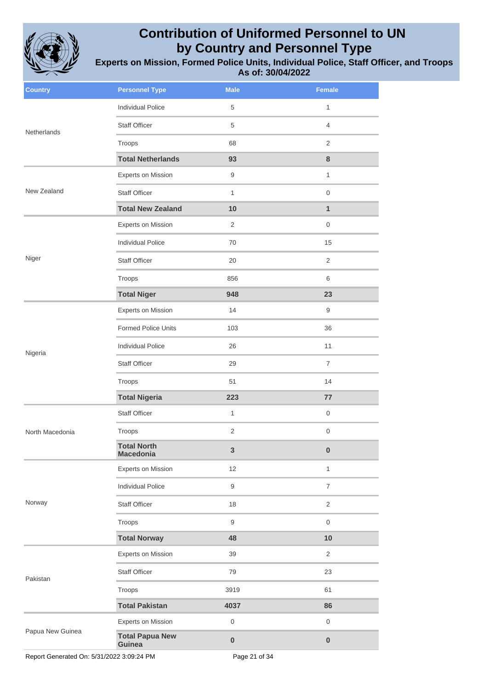

| <b>Country</b>   | <b>Personnel Type</b>                  | <b>Male</b>         | <b>Female</b>       |
|------------------|----------------------------------------|---------------------|---------------------|
|                  | <b>Individual Police</b>               | 5                   | 1                   |
| Netherlands      | Staff Officer                          | 5                   | $\overline{4}$      |
|                  | Troops                                 | 68                  | $\overline{2}$      |
|                  | <b>Total Netherlands</b>               | 93                  | 8                   |
|                  | Experts on Mission                     | 9                   | $\mathbf{1}$        |
| New Zealand      | <b>Staff Officer</b>                   | $\mathbf{1}$        | $\mathsf{O}\xspace$ |
|                  | <b>Total New Zealand</b>               | 10                  | $\mathbf{1}$        |
|                  | Experts on Mission                     | 2                   | $\mathsf{O}\xspace$ |
|                  | <b>Individual Police</b>               | 70                  | 15                  |
| Niger            | <b>Staff Officer</b>                   | 20                  | $\overline{2}$      |
|                  | Troops                                 | 856                 | 6                   |
|                  | <b>Total Niger</b>                     | 948                 | 23                  |
|                  | Experts on Mission                     | 14                  | 9                   |
|                  | <b>Formed Police Units</b>             | 103                 | 36                  |
| Nigeria          | <b>Individual Police</b>               | 26                  | 11                  |
|                  | Staff Officer                          | 29                  | $\overline{7}$      |
|                  | Troops                                 | 51                  | 14                  |
|                  | <b>Total Nigeria</b>                   | 223                 | 77                  |
|                  | <b>Staff Officer</b>                   | $\mathbf{1}$        | $\mathbf 0$         |
| North Macedonia  | Troops                                 | $\sqrt{2}$          | $\mathsf{O}\xspace$ |
|                  | <b>Total North</b><br><b>Macedonia</b> | $\mathbf{3}$        | $\pmb{0}$           |
|                  | Experts on Mission                     | 12                  | $\mathbf{1}$        |
|                  | <b>Individual Police</b>               | $9\,$               | $\overline{7}$      |
| Norway           | Staff Officer                          | 18                  | $\overline{2}$      |
|                  | Troops                                 | $9\,$               | $\mathsf{O}\xspace$ |
|                  | <b>Total Norway</b>                    | 48                  | 10                  |
|                  | Experts on Mission                     | 39                  | $\overline{c}$      |
| Pakistan         | Staff Officer                          | 79                  | 23                  |
|                  | Troops                                 | 3919                | 61                  |
|                  | <b>Total Pakistan</b>                  | 4037                | 86                  |
|                  | Experts on Mission                     | $\mathsf{O}\xspace$ | $\mathsf{O}\xspace$ |
| Papua New Guinea | <b>Total Papua New</b><br>Guinea       | $\pmb{0}$           | $\pmb{0}$           |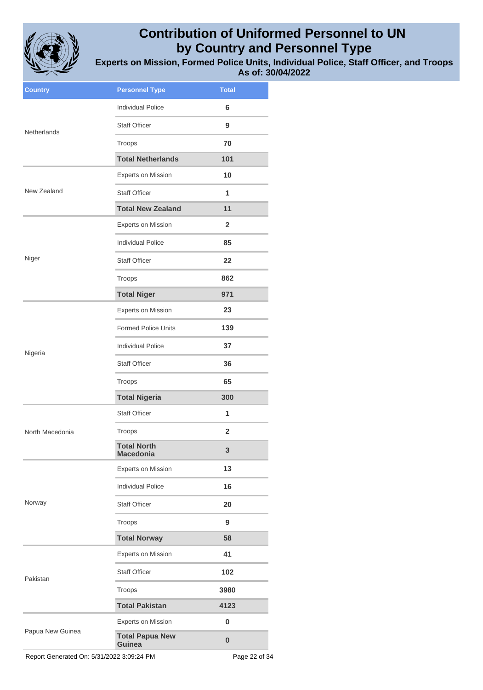

**Experts on Mission, Formed Police Units, Individual Police, Staff Officer, and Troops As of: 30/04/2022**

| <b>Country</b>   | <b>Personnel Type</b>                  | <b>Total</b>   |
|------------------|----------------------------------------|----------------|
| Netherlands      | <b>Individual Police</b>               | 6              |
|                  | <b>Staff Officer</b>                   | 9              |
|                  | Troops                                 | 70             |
|                  | <b>Total Netherlands</b>               | 101            |
|                  | Experts on Mission                     | 10             |
| New Zealand      | <b>Staff Officer</b>                   | 1              |
|                  | <b>Total New Zealand</b>               | 11             |
|                  | Experts on Mission                     | $\overline{2}$ |
|                  | <b>Individual Police</b>               | 85             |
| Niger            | <b>Staff Officer</b>                   | 22             |
|                  | Troops                                 | 862            |
|                  | <b>Total Niger</b>                     | 971            |
|                  | <b>Experts on Mission</b>              | 23             |
|                  | <b>Formed Police Units</b>             | 139            |
| Nigeria          | <b>Individual Police</b>               | 37             |
|                  | <b>Staff Officer</b>                   | 36             |
|                  | Troops                                 | 65             |
|                  | <b>Total Nigeria</b>                   | 300            |
|                  | <b>Staff Officer</b>                   | 1              |
| North Macedonia  | Troops                                 | 2              |
|                  | <b>Total North</b><br><b>Macedonia</b> | 3              |
|                  | Experts on Mission                     | 13             |
|                  | <b>Individual Police</b>               | 16             |
| Norway           | <b>Staff Officer</b>                   | 20             |
|                  | Troops                                 | 9              |
|                  | <b>Total Norway</b>                    | 58             |
|                  | <b>Experts on Mission</b>              | 41             |
| Pakistan         | <b>Staff Officer</b>                   | 102            |
|                  | Troops                                 | 3980           |
|                  | <b>Total Pakistan</b>                  | 4123           |
| Papua New Guinea | <b>Experts on Mission</b>              | $\pmb{0}$      |
|                  | <b>Total Papua New</b><br>Guinea       | $\bf{0}$       |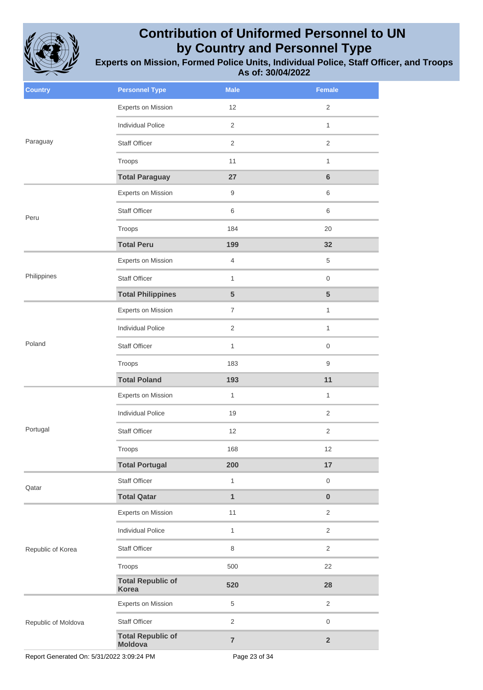

**Experts on Mission, Formed Police Units, Individual Police, Staff Officer, and Troops As of: 30/04/2022**

| <b>Country</b>      | <b>Personnel Type</b>                      | <b>Male</b>      | Female              |
|---------------------|--------------------------------------------|------------------|---------------------|
|                     | Experts on Mission                         | 12               | 2                   |
|                     | <b>Individual Police</b>                   | $\overline{c}$   | $\mathbf{1}$        |
| Paraguay            | <b>Staff Officer</b>                       | 2                | 2                   |
|                     | Troops                                     | 11               | $\mathbf{1}$        |
|                     | <b>Total Paraguay</b>                      | 27               | $\bf 6$             |
|                     | Experts on Mission                         | $\boldsymbol{9}$ | 6                   |
| Peru                | <b>Staff Officer</b>                       | 6                | 6                   |
|                     | Troops                                     | 184              | 20                  |
|                     | <b>Total Peru</b>                          | 199              | 32                  |
|                     | Experts on Mission                         | $\overline{4}$   | 5                   |
| Philippines         | <b>Staff Officer</b>                       | $\mathbf{1}$     | $\mathbf 0$         |
|                     | <b>Total Philippines</b>                   | ${\bf 5}$        | $5\phantom{1}$      |
|                     | Experts on Mission                         | $\overline{7}$   | $\mathbf{1}$        |
|                     | <b>Individual Police</b>                   | $\overline{2}$   | $\mathbf{1}$        |
| Poland              | Staff Officer                              | $\mathbf{1}$     | $\boldsymbol{0}$    |
|                     | Troops                                     | 183              | $\boldsymbol{9}$    |
|                     | <b>Total Poland</b>                        | 193              | 11                  |
|                     | Experts on Mission                         | $\mathbf{1}$     | $\mathbf{1}$        |
|                     | <b>Individual Police</b>                   | 19               | $\sqrt{2}$          |
| Portugal            | Staff Officer                              | 12               | $\sqrt{2}$          |
|                     | Troops                                     | 168              | 12                  |
|                     | <b>Total Portugal</b>                      | 200              | 17                  |
| Qatar               | Staff Officer                              | $\mathbf{1}$     | $\mathbf 0$         |
|                     | <b>Total Qatar</b>                         | $\mathbf{1}$     | $\pmb{0}$           |
|                     | Experts on Mission                         | 11               | $\sqrt{2}$          |
|                     | <b>Individual Police</b>                   | $\mathbf{1}$     | $\overline{2}$      |
| Republic of Korea   | Staff Officer                              | 8                | $\overline{2}$      |
|                     | Troops                                     | 500              | 22                  |
|                     | <b>Total Republic of</b><br><b>Korea</b>   | 520              | 28                  |
|                     | Experts on Mission                         | $\,$ 5 $\,$      | $\sqrt{2}$          |
| Republic of Moldova | Staff Officer                              | $\overline{2}$   | $\mathsf{O}\xspace$ |
|                     | <b>Total Republic of</b><br><b>Moldova</b> | $\overline{7}$   | $\mathbf 2$         |

Report Generated On: 5/31/2022 3:09:24 PM Page 23 of 34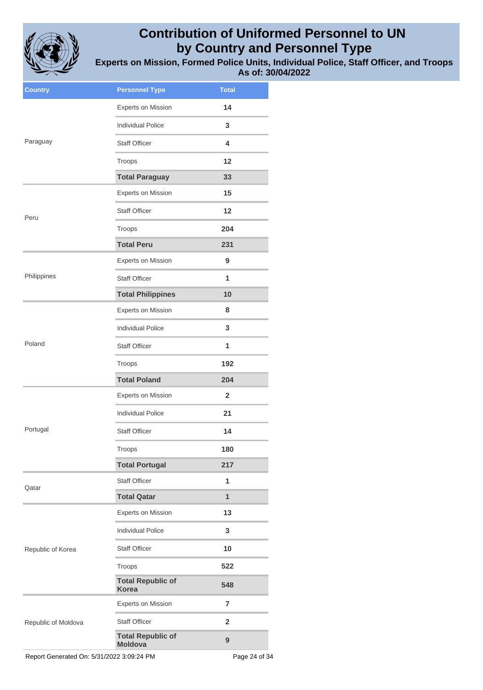

**Experts on Mission, Formed Police Units, Individual Police, Staff Officer, and Troops As of: 30/04/2022**

| <b>Country</b>      | <b>Personnel Type</b>                      | <b>Total</b>     |
|---------------------|--------------------------------------------|------------------|
|                     | Experts on Mission                         | 14               |
|                     | <b>Individual Police</b>                   | 3                |
| Paraguay            | <b>Staff Officer</b>                       | 4                |
|                     | Troops                                     | 12               |
|                     | <b>Total Paraguay</b>                      | 33               |
|                     | Experts on Mission                         | 15               |
| Peru                | <b>Staff Officer</b>                       | 12               |
|                     | Troops                                     | 204              |
|                     | <b>Total Peru</b>                          | 231              |
|                     | <b>Experts on Mission</b>                  | 9                |
| Philippines         | <b>Staff Officer</b>                       | 1                |
|                     | <b>Total Philippines</b>                   | 10               |
|                     | Experts on Mission                         | 8                |
|                     | <b>Individual Police</b>                   | 3                |
| Poland              | <b>Staff Officer</b>                       | 1                |
|                     | Troops                                     | 192              |
|                     | <b>Total Poland</b>                        | 204              |
|                     | <b>Experts on Mission</b>                  | $\mathbf{2}$     |
|                     | <b>Individual Police</b>                   | 21               |
| Portugal            | <b>Staff Officer</b>                       | 14               |
|                     | Troops                                     | 180              |
|                     | <b>Total Portugal</b>                      | 217              |
| Qatar               | <b>Staff Officer</b>                       | 1                |
|                     | <b>Total Qatar</b>                         | $\overline{1}$   |
|                     | <b>Experts on Mission</b>                  | 13               |
|                     | <b>Individual Police</b>                   | 3                |
| Republic of Korea   | <b>Staff Officer</b>                       | 10               |
|                     | Troops                                     | 522              |
|                     | <b>Total Republic of</b><br><b>Korea</b>   | 548              |
|                     | <b>Experts on Mission</b>                  | $\overline{7}$   |
| Republic of Moldova | <b>Staff Officer</b>                       | $\mathbf{2}$     |
|                     | <b>Total Republic of</b><br><b>Moldova</b> | $\boldsymbol{9}$ |
|                     |                                            |                  |

Report Generated On: 5/31/2022 3:09:24 PM Page 24 of 34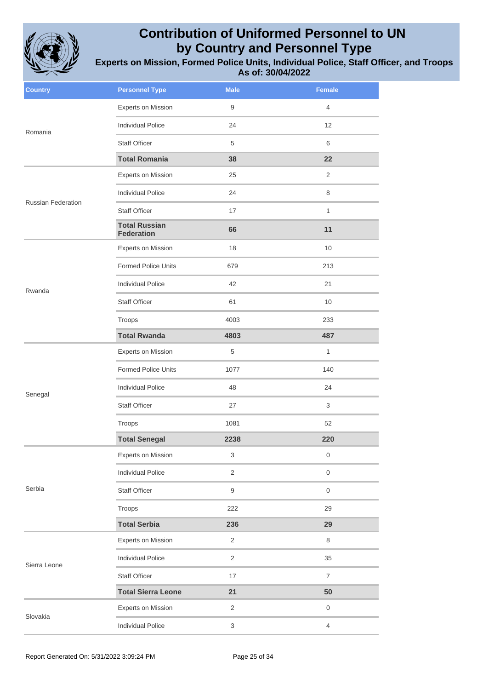

| <b>Country</b>            | <b>Personnel Type</b>                     | <b>Male</b>    | <b>Female</b>       |
|---------------------------|-------------------------------------------|----------------|---------------------|
| Romania                   | Experts on Mission                        | $9\,$          | $\overline{4}$      |
|                           | <b>Individual Police</b>                  | 24             | 12                  |
|                           | <b>Staff Officer</b>                      | 5              | 6                   |
|                           | <b>Total Romania</b>                      | 38             | 22                  |
|                           | <b>Experts on Mission</b>                 | 25             | 2                   |
|                           | <b>Individual Police</b>                  | 24             | $\,8\,$             |
| <b>Russian Federation</b> | <b>Staff Officer</b>                      | 17             | $\mathbf{1}$        |
|                           | <b>Total Russian</b><br><b>Federation</b> | 66             | 11                  |
|                           | <b>Experts on Mission</b>                 | 18             | 10                  |
|                           | Formed Police Units                       | 679            | 213                 |
| Rwanda                    | <b>Individual Police</b>                  | 42             | 21                  |
|                           | <b>Staff Officer</b>                      | 61             | 10                  |
|                           | Troops                                    | 4003           | 233                 |
|                           | <b>Total Rwanda</b>                       | 4803           | 487                 |
|                           | <b>Experts on Mission</b>                 | $\,$ 5 $\,$    | $\mathbf{1}$        |
|                           | <b>Formed Police Units</b>                | 1077           | 140                 |
| Senegal                   | <b>Individual Police</b>                  | 48             | 24                  |
|                           | <b>Staff Officer</b>                      | 27             | 3                   |
|                           | Troops                                    | 1081           | 52                  |
|                           | <b>Total Senegal</b>                      | 2238           | 220                 |
|                           | <b>Experts on Mission</b>                 | $\mathbf{3}$   | $\boldsymbol{0}$    |
|                           | <b>Individual Police</b>                  | $\overline{c}$ | $\mathbf 0$         |
| Serbia                    | Staff Officer                             | $9\,$          | $\mathbf 0$         |
|                           | Troops                                    | 222            | 29                  |
|                           | <b>Total Serbia</b>                       | 236            | 29                  |
| Sierra Leone              | <b>Experts on Mission</b>                 | $\overline{c}$ | $\,8\,$             |
|                           | <b>Individual Police</b>                  | $\overline{c}$ | 35                  |
|                           | <b>Staff Officer</b>                      | 17             | $\overline{7}$      |
|                           | <b>Total Sierra Leone</b>                 | 21             | 50                  |
| Slovakia                  | <b>Experts on Mission</b>                 | $\overline{2}$ | $\mathsf{O}\xspace$ |
|                           | <b>Individual Police</b>                  | $\mathbf{3}$   | $\overline{4}$      |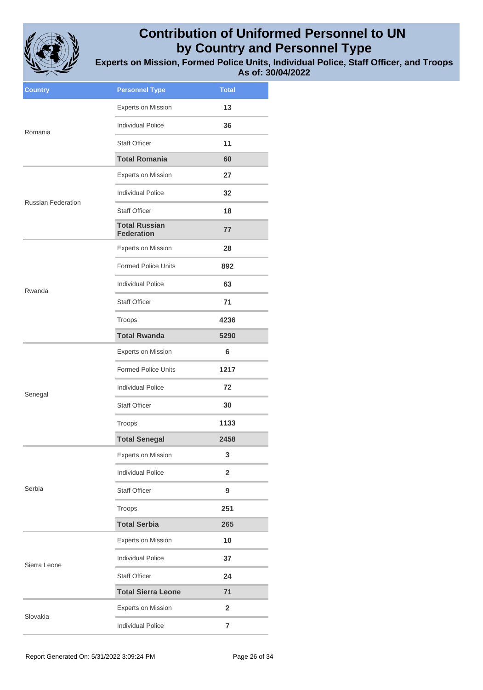

**Experts on Mission, Formed Police Units, Individual Police, Staff Officer, and Troops As of: 30/04/2022**

| <b>Country</b>            | <b>Personnel Type</b>                     | <b>Total</b>   |
|---------------------------|-------------------------------------------|----------------|
|                           | <b>Experts on Mission</b>                 | 13             |
| Romania                   | <b>Individual Police</b>                  | 36             |
|                           | <b>Staff Officer</b>                      | 11             |
|                           | <b>Total Romania</b>                      | 60             |
|                           | Experts on Mission                        | 27             |
| <b>Russian Federation</b> | <b>Individual Police</b>                  | 32             |
|                           | <b>Staff Officer</b>                      | 18             |
|                           | <b>Total Russian</b><br><b>Federation</b> | 77             |
|                           | <b>Experts on Mission</b>                 | 28             |
|                           | <b>Formed Police Units</b>                | 892            |
| Rwanda                    | <b>Individual Police</b>                  | 63             |
|                           | <b>Staff Officer</b>                      | 71             |
|                           | Troops                                    | 4236           |
|                           | <b>Total Rwanda</b>                       | 5290           |
|                           | <b>Experts on Mission</b>                 | 6              |
|                           | <b>Formed Police Units</b>                | 1217           |
| Senegal                   | <b>Individual Police</b>                  | 72             |
|                           | <b>Staff Officer</b>                      | 30             |
|                           | Troops                                    | 1133           |
|                           | <b>Total Senegal</b>                      | 2458           |
|                           | <b>Experts on Mission</b>                 | 3              |
|                           | <b>Individual Police</b>                  | $\overline{2}$ |
| Serbia                    | <b>Staff Officer</b>                      | 9              |
|                           | Troops                                    | 251            |
|                           | <b>Total Serbia</b>                       | 265            |
|                           | <b>Experts on Mission</b>                 | 10             |
| Sierra Leone              | <b>Individual Police</b>                  | 37             |
|                           | <b>Staff Officer</b>                      | 24             |
|                           | <b>Total Sierra Leone</b>                 | 71             |
| Slovakia                  | <b>Experts on Mission</b>                 | $\mathbf{2}$   |
|                           | <b>Individual Police</b>                  | $\overline{7}$ |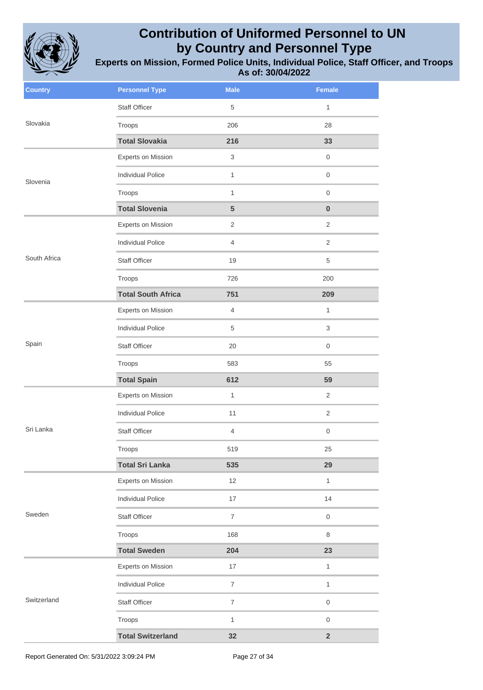

| <b>Country</b> | <b>Personnel Type</b>     | <b>Male</b>      | <b>Female</b>           |
|----------------|---------------------------|------------------|-------------------------|
| Slovakia       | <b>Staff Officer</b>      | 5                | $\mathbf{1}$            |
|                | Troops                    | 206              | 28                      |
|                | <b>Total Slovakia</b>     | 216              | 33                      |
|                | Experts on Mission        | 3                | $\mathbf 0$             |
| Slovenia       | <b>Individual Police</b>  | $\mathbf{1}$     | $\mathsf{O}\xspace$     |
|                | Troops                    | $\mathbf{1}$     | $\mathbf 0$             |
|                | <b>Total Slovenia</b>     | 5                | $\pmb{0}$               |
|                | Experts on Mission        | $\mathbf{2}$     | $\overline{2}$          |
|                | <b>Individual Police</b>  | $\overline{4}$   | 2                       |
| South Africa   | <b>Staff Officer</b>      | 19               | 5                       |
|                | Troops                    | 726              | 200                     |
|                | <b>Total South Africa</b> | 751              | 209                     |
|                | Experts on Mission        | $\overline{4}$   | $\mathbf{1}$            |
|                | <b>Individual Police</b>  | 5                | 3                       |
| Spain          | <b>Staff Officer</b>      | 20               | $\mathbf 0$             |
|                | Troops                    | 583              | 55                      |
|                | <b>Total Spain</b>        | 612              | 59                      |
|                | Experts on Mission        | 1                | $\overline{2}$          |
|                | <b>Individual Police</b>  | 11               | $\overline{2}$          |
| Sri Lanka      | <b>Staff Officer</b>      | $\overline{4}$   | $\mathsf{O}\xspace$     |
|                | Troops                    | 519              | 25                      |
|                | <b>Total Sri Lanka</b>    | 535              | 29                      |
|                | Experts on Mission        | 12               | $\mathbf{1}$            |
|                | <b>Individual Police</b>  | 17               | 14                      |
| Sweden         | Staff Officer             | $\overline{7}$   | $\mathbf 0$             |
|                | Troops                    | 168              | $\,8\,$                 |
|                | <b>Total Sweden</b>       | 204              | 23                      |
| Switzerland    | Experts on Mission        | 17               | $\mathbf{1}$            |
|                | <b>Individual Police</b>  | $\overline{7}$   | $\mathbf{1}$            |
|                | Staff Officer             | $\boldsymbol{7}$ | $\mathsf{O}\xspace$     |
|                | Troops                    | $\mathbf{1}$     | $\mathbf 0$             |
|                | <b>Total Switzerland</b>  | 32               | $\overline{\mathbf{2}}$ |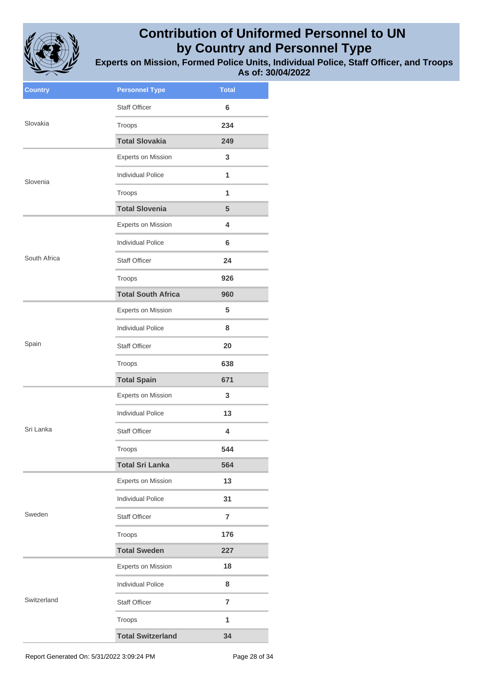

**Experts on Mission, Formed Police Units, Individual Police, Staff Officer, and Troops As of: 30/04/2022**

| <b>Country</b> | <b>Personnel Type</b>     | <b>Total</b>   |
|----------------|---------------------------|----------------|
|                | <b>Staff Officer</b>      | 6              |
| Slovakia       | Troops                    | 234            |
|                | <b>Total Slovakia</b>     | 249            |
|                | Experts on Mission        | 3              |
| Slovenia       | <b>Individual Police</b>  | 1              |
|                | Troops                    | 1              |
|                | <b>Total Slovenia</b>     | 5              |
|                | Experts on Mission        | 4              |
|                | <b>Individual Police</b>  | 6              |
| South Africa   | <b>Staff Officer</b>      | 24             |
|                | Troops                    | 926            |
|                | <b>Total South Africa</b> | 960            |
|                | <b>Experts on Mission</b> | 5              |
|                | <b>Individual Police</b>  | 8              |
| Spain          | <b>Staff Officer</b>      | 20             |
|                | Troops                    | 638            |
|                | <b>Total Spain</b>        | 671            |
|                | <b>Experts on Mission</b> | 3              |
|                | <b>Individual Police</b>  | 13             |
| Sri Lanka      | <b>Staff Officer</b>      | 4              |
|                | Troops                    | 544            |
|                | <b>Total Sri Lanka</b>    | 564            |
|                | Experts on Mission        | 13             |
|                | <b>Individual Police</b>  | 31             |
| Sweden         | <b>Staff Officer</b>      | $\overline{7}$ |
|                | Troops                    | 176            |
|                | <b>Total Sweden</b>       | 227            |
|                | Experts on Mission        | 18             |
|                | <b>Individual Police</b>  | 8              |
| Switzerland    | <b>Staff Officer</b>      | $\overline{7}$ |
|                | Troops                    | 1              |
|                | <b>Total Switzerland</b>  | 34             |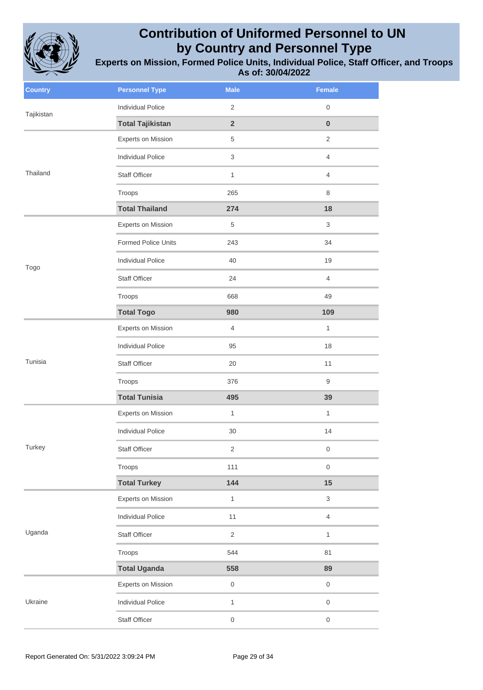

| <b>Country</b> | <b>Personnel Type</b>    | <b>Male</b>         | <b>Female</b>       |
|----------------|--------------------------|---------------------|---------------------|
| Tajikistan     | <b>Individual Police</b> | $\mathbf{2}$        | 0                   |
|                | <b>Total Tajikistan</b>  | $\overline{2}$      | $\pmb{0}$           |
|                | Experts on Mission       | 5                   | $\overline{2}$      |
|                | <b>Individual Police</b> | 3                   | $\overline{4}$      |
| Thailand       | Staff Officer            | $\mathbf{1}$        | 4                   |
|                | Troops                   | 265                 | 8                   |
|                | <b>Total Thailand</b>    | 274                 | 18                  |
|                | Experts on Mission       | 5                   | 3                   |
|                | Formed Police Units      | 243                 | 34                  |
| Togo           | <b>Individual Police</b> | 40                  | 19                  |
|                | Staff Officer            | 24                  | $\overline{4}$      |
|                | Troops                   | 668                 | 49                  |
|                | <b>Total Togo</b>        | 980                 | 109                 |
|                | Experts on Mission       | $\overline{4}$      | $\mathbf{1}$        |
|                | <b>Individual Police</b> | 95                  | 18                  |
| Tunisia        | Staff Officer            | 20                  | 11                  |
|                | Troops                   | 376                 | 9                   |
|                | <b>Total Tunisia</b>     | 495                 | 39                  |
|                | Experts on Mission       | $\mathbf{1}$        | $\mathbf{1}$        |
|                | <b>Individual Police</b> | 30                  | 14                  |
| Turkey         | Staff Officer            | $\overline{c}$      | 0                   |
|                | Troops                   | 111                 | $\mathsf{O}\xspace$ |
|                | <b>Total Turkey</b>      | 144                 | 15                  |
|                | Experts on Mission       | $\mathbf{1}$        | 3                   |
| Uganda         | <b>Individual Police</b> | 11                  | $\overline{4}$      |
|                | Staff Officer            | $\overline{2}$      | $\mathbf{1}$        |
|                | Troops                   | 544                 | 81                  |
|                | <b>Total Uganda</b>      | 558                 | 89                  |
|                | Experts on Mission       | $\boldsymbol{0}$    | $\boldsymbol{0}$    |
| Ukraine        | <b>Individual Police</b> | $\mathbf{1}$        | $\mathsf{O}\xspace$ |
|                | Staff Officer            | $\mathsf{O}\xspace$ | $\mathsf{O}\xspace$ |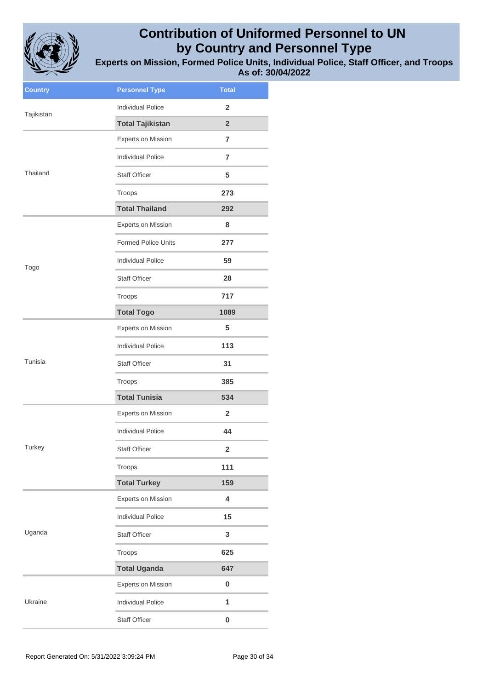

| <b>Country</b> | <b>Personnel Type</b>      | <b>Total</b>   |
|----------------|----------------------------|----------------|
| Tajikistan     | <b>Individual Police</b>   | $\overline{2}$ |
|                | <b>Total Tajikistan</b>    | $\overline{2}$ |
|                | Experts on Mission         | $\overline{7}$ |
|                | <b>Individual Police</b>   | $\overline{7}$ |
| Thailand       | <b>Staff Officer</b>       | 5              |
|                | Troops                     | 273            |
|                | <b>Total Thailand</b>      | 292            |
|                | Experts on Mission         | 8              |
|                | <b>Formed Police Units</b> | 277            |
| Togo           | <b>Individual Police</b>   | 59             |
|                | <b>Staff Officer</b>       | 28             |
|                | Troops                     | 717            |
|                | <b>Total Togo</b>          | 1089           |
|                | <b>Experts on Mission</b>  | 5              |
|                | <b>Individual Police</b>   | 113            |
| Tunisia        | <b>Staff Officer</b>       | 31             |
|                | Troops                     | 385            |
|                | <b>Total Tunisia</b>       | 534            |
|                | <b>Experts on Mission</b>  | $\overline{2}$ |
|                | <b>Individual Police</b>   | 44             |
| Turkey         | Staff Officer              | 2              |
|                | Troops                     | 111            |
|                | <b>Total Turkey</b>        | 159            |
|                | <b>Experts on Mission</b>  | 4              |
|                | <b>Individual Police</b>   | 15             |
| Uganda         | <b>Staff Officer</b>       | 3              |
|                | Troops                     | 625            |
|                | <b>Total Uganda</b>        | 647            |
|                | Experts on Mission         | $\pmb{0}$      |
| Ukraine        | Individual Police          | $\mathbf{1}$   |
|                | <b>Staff Officer</b>       | 0              |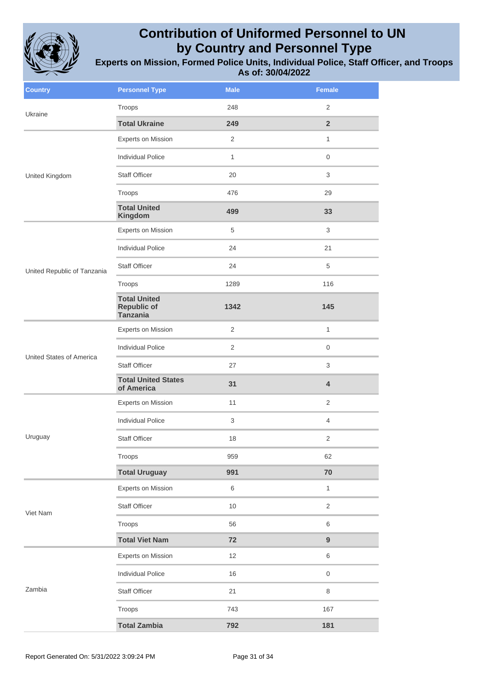

| <b>Country</b>                  | <b>Personnel Type</b>                                        | <b>Male</b>               | <b>Female</b>    |
|---------------------------------|--------------------------------------------------------------|---------------------------|------------------|
| Ukraine                         | Troops                                                       | 248                       | 2                |
|                                 | <b>Total Ukraine</b>                                         | 249                       | $\overline{2}$   |
|                                 | Experts on Mission                                           | $\overline{2}$            | $\mathbf{1}$     |
|                                 | <b>Individual Police</b>                                     | $\mathbf{1}$              | $\mathbf 0$      |
| United Kingdom                  | <b>Staff Officer</b>                                         | 20                        | 3                |
|                                 | Troops                                                       | 476                       | 29               |
|                                 | <b>Total United</b><br>Kingdom                               | 499                       | 33               |
|                                 | Experts on Mission                                           | $\,$ 5 $\,$               | 3                |
|                                 | <b>Individual Police</b>                                     | 24                        | 21               |
| United Republic of Tanzania     | <b>Staff Officer</b>                                         | 24                        | 5                |
|                                 | Troops                                                       | 1289                      | 116              |
|                                 | <b>Total United</b><br><b>Republic of</b><br><b>Tanzania</b> | 1342                      | 145              |
|                                 | Experts on Mission                                           | $\overline{c}$            | $\mathbf{1}$     |
|                                 | <b>Individual Police</b>                                     | 2                         | 0                |
| <b>United States of America</b> | <b>Staff Officer</b>                                         | 27                        | 3                |
|                                 | <b>Total United States</b><br>of America                     | 31                        | 4                |
|                                 | Experts on Mission                                           | 11                        | $\overline{2}$   |
|                                 | <b>Individual Police</b>                                     | $\ensuremath{\mathsf{3}}$ | $\overline{4}$   |
| Uruguay                         | <b>Staff Officer</b>                                         | 18                        | 2                |
|                                 | Troops                                                       | 959                       | 62               |
|                                 | <b>Total Uruguay</b>                                         | 991                       | 70               |
|                                 | <b>Experts on Mission</b>                                    | 6                         | $\mathbf{1}$     |
| Viet Nam                        | <b>Staff Officer</b>                                         | $10$                      | $\overline{2}$   |
|                                 | Troops                                                       | 56                        | 6                |
|                                 | <b>Total Viet Nam</b>                                        | 72                        | $\boldsymbol{9}$ |
| Zambia                          | Experts on Mission                                           | 12                        | 6                |
|                                 | <b>Individual Police</b>                                     | 16                        | $\mathsf 0$      |
|                                 | Staff Officer                                                | 21                        | $\,8\,$          |
|                                 | Troops                                                       | 743                       | 167              |
|                                 | <b>Total Zambia</b>                                          | 792                       | 181              |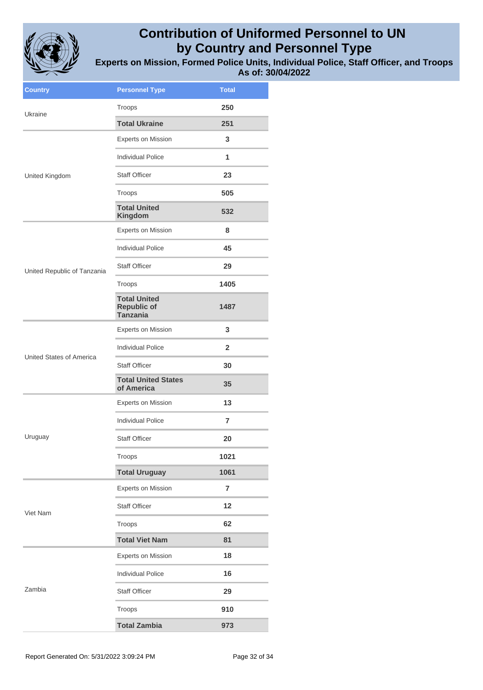

| <b>Country</b>              | <b>Personnel Type</b>                                        | <b>Total</b>   |
|-----------------------------|--------------------------------------------------------------|----------------|
| Ukraine                     | Troops                                                       | 250            |
|                             | <b>Total Ukraine</b>                                         | 251            |
|                             | <b>Experts on Mission</b>                                    | 3              |
|                             | <b>Individual Police</b>                                     | 1              |
| United Kingdom              | <b>Staff Officer</b>                                         | 23             |
|                             | Troops                                                       | 505            |
|                             | <b>Total United</b><br>Kingdom                               | 532            |
|                             | <b>Experts on Mission</b>                                    | 8              |
|                             | <b>Individual Police</b>                                     | 45             |
| United Republic of Tanzania | <b>Staff Officer</b>                                         | 29             |
|                             | Troops                                                       | 1405           |
|                             | <b>Total United</b><br><b>Republic of</b><br><b>Tanzania</b> | 1487           |
|                             | <b>Experts on Mission</b>                                    | 3              |
|                             | <b>Individual Police</b>                                     | $\mathbf{2}$   |
| United States of America    | <b>Staff Officer</b>                                         | 30             |
|                             | <b>Total United States</b><br>of America                     | 35             |
|                             | <b>Experts on Mission</b>                                    | 13             |
|                             | <b>Individual Police</b>                                     | 7              |
| Uruguay                     | <b>Staff Officer</b>                                         | 20             |
|                             | Troops                                                       | 1021           |
|                             | <b>Total Uruguay</b>                                         | 1061           |
|                             | <b>Experts on Mission</b>                                    | $\overline{7}$ |
| Viet Nam                    | <b>Staff Officer</b>                                         | 12             |
|                             | Troops                                                       | 62             |
|                             | <b>Total Viet Nam</b>                                        | 81             |
|                             | <b>Experts on Mission</b>                                    | 18             |
|                             | <b>Individual Police</b>                                     | 16             |
| Zambia                      | <b>Staff Officer</b>                                         | 29             |
|                             | Troops                                                       | 910            |
|                             | <b>Total Zambia</b>                                          | 973            |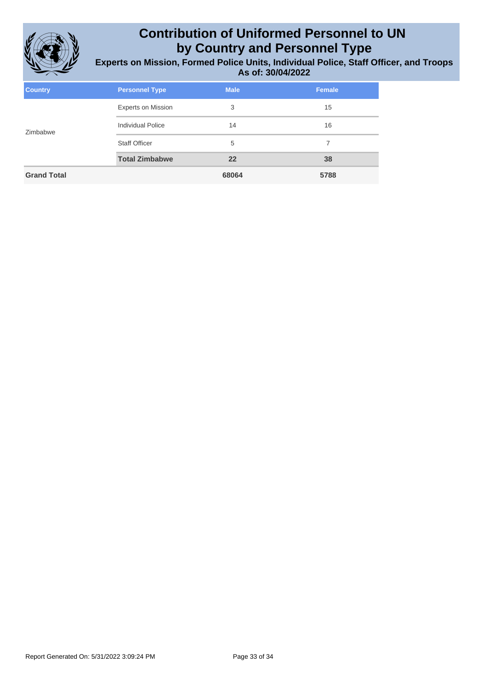

| <b>Country</b>     | <b>Personnel Type</b>     | <b>Male</b> | <b>Female</b> |
|--------------------|---------------------------|-------------|---------------|
| Zimbabwe           | <b>Experts on Mission</b> | 3           | 15            |
|                    | <b>Individual Police</b>  | 14          | 16            |
|                    | <b>Staff Officer</b>      | 5           | 7             |
|                    | <b>Total Zimbabwe</b>     | 22          | 38            |
| <b>Grand Total</b> |                           | 68064       | 5788          |